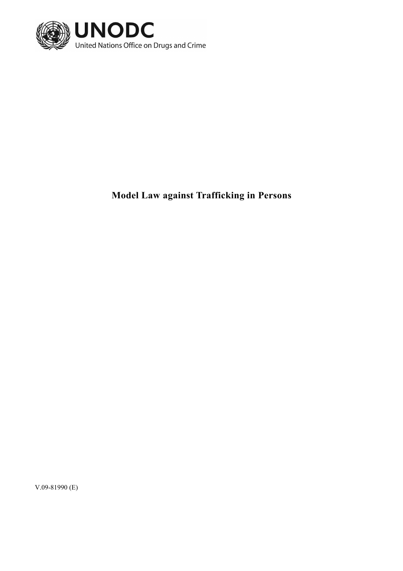

**Model Law against Trafficking in Persons** 

V.09-81990 (E)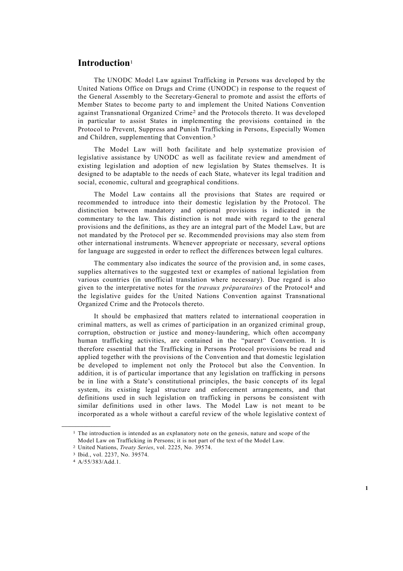# **Introduction**<sup>1</sup>

 The UNODC Model Law against Trafficking in Persons was developed by the United Nations Office on Drugs and Crime (UNODC) in response to the request of the General Assembly to the Secretary-General to promote and assist the efforts of Member States to become party to and implement the United Nations Convention against Transnational Organized Crime2 and the Protocols thereto. It was developed in particular to assist States in implementing the provisions contained in the Protocol to Prevent, Suppress and Punish Trafficking in Persons, Especially Women and Children, supplementing that Convention.3

 The Model Law will both facilitate and help systematize provision of legislative assistance by UNODC as well as facilitate review and amendment of existing legislation and adoption of new legislation by States themselves. It is designed to be adaptable to the needs of each State, whatever its legal tradition and social, economic, cultural and geographical conditions.

 The Model Law contains all the provisions that States are required or recommended to introduce into their domestic legislation by the Protocol. The distinction between mandatory and optional provisions is indicated in the commentary to the law. This distinction is not made with regard to the general provisions and the definitions, as they are an integral part of the Model Law, but are not mandated by the Protocol per se. Recommended provisions may also stem from other international instruments. Whenever appropriate or necessary, several options for language are suggested in order to reflect the differences between legal cultures.

 The commentary also indicates the source of the provision and, in some cases, supplies alternatives to the suggested text or examples of national legislation from various countries (in unofficial translation where necessary). Due regard is also given to the interpretative notes for the *travaux préparatoires* of the Protocol4 and the legislative guides for the United Nations Convention against Transnational Organized Crime and the Protocols thereto.

 It should be emphasized that matters related to international cooperation in criminal matters, as well as crimes of participation in an organized criminal group, corruption, obstruction or justice and money-laundering, which often accompany human trafficking activities, are contained in the "parent" Convention. It is therefore essential that the Trafficking in Persons Protocol provisions be read and applied together with the provisions of the Convention and that domestic legislation be developed to implement not only the Protocol but also the Convention. In addition, it is of particular importance that any legislation on trafficking in persons be in line with a State's constitutional principles, the basic concepts of its legal system, its existing legal structure and enforcement arrangements, and that definitions used in such legislation on trafficking in persons be consistent with similar definitions used in other laws. The Model Law is not meant to be incorporated as a whole without a careful review of the whole legislative context of

**\_\_\_\_\_\_\_\_\_\_\_\_\_\_\_\_\_\_** 

<sup>&</sup>lt;sup>1</sup> The introduction is intended as an explanatory note on the genesis, nature and scope of the Model Law on Trafficking in Persons; it is not part of the text of the Model Law.

<sup>2</sup> United Nations, *Treaty Series*, vol. 2225, No. 39574.

<sup>3</sup> Ibid., vol. 2237, No. 39574.

<sup>4</sup> A/55/383/Add.1.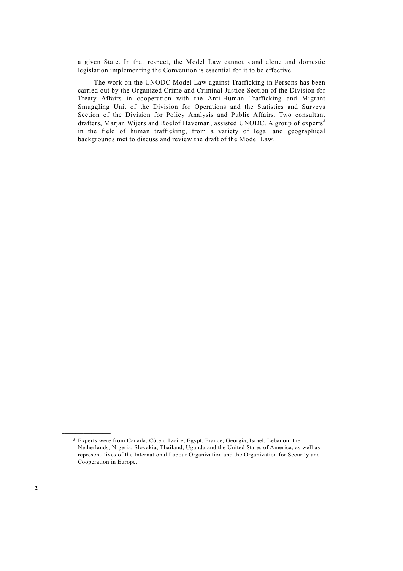a given State. In that respect, the Model Law cannot stand alone and domestic legislation implementing the Convention is essential for it to be effective.

 The work on the UNODC Model Law against Trafficking in Persons has been carried out by the Organized Crime and Criminal Justice Section of the Division for Treaty Affairs in cooperation with the Anti-Human Trafficking and Migrant Smuggling Unit of the Division for Operations and the Statistics and Surveys Section of the Division for Policy Analysis and Public Affairs. Two consultant drafters, Marjan Wijers and Roelof Haveman, assisted UNODC. A group of experts<sup>5</sup> in the field of human trafficking, from a variety of legal and geographical backgrounds met to discuss and review the draft of the Model Law.

**\_\_\_\_\_\_\_\_\_\_\_\_\_\_\_\_\_\_** 

<sup>5</sup> Experts were from Canada, Côte d'Ivoire, Egypt, France, Georgia, Israel, Lebanon, the Netherlands, Nigeria, Slovakia, Thailand, Uganda and the United States of America, as well as representatives of the International Labour Organization and the Organization for Security and Cooperation in Europe.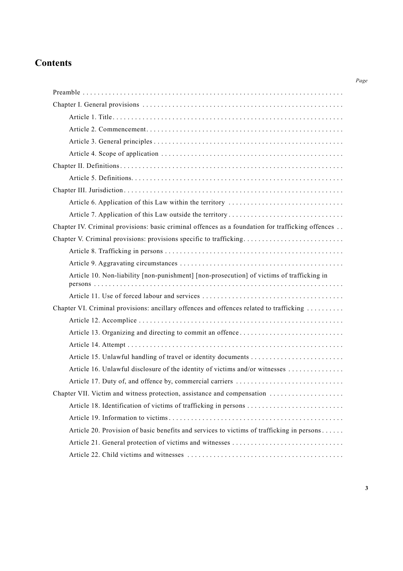# **Contents**

| Chapter IV. Criminal provisions: basic criminal offences as a foundation for trafficking offences |
|---------------------------------------------------------------------------------------------------|
| Chapter V. Criminal provisions: provisions specific to trafficking                                |
|                                                                                                   |
|                                                                                                   |
| Article 10. Non-liability [non-punishment] [non-prosecution] of victims of trafficking in         |
|                                                                                                   |
| Chapter VI. Criminal provisions: ancillary offences and offences related to trafficking           |
|                                                                                                   |
|                                                                                                   |
|                                                                                                   |
|                                                                                                   |
| Article 16. Unlawful disclosure of the identity of victims and/or witnesses                       |
|                                                                                                   |
| Chapter VII. Victim and witness protection, assistance and compensation                           |
|                                                                                                   |
|                                                                                                   |
| Article 20. Provision of basic benefits and services to victims of trafficking in persons         |
|                                                                                                   |
|                                                                                                   |

*Page*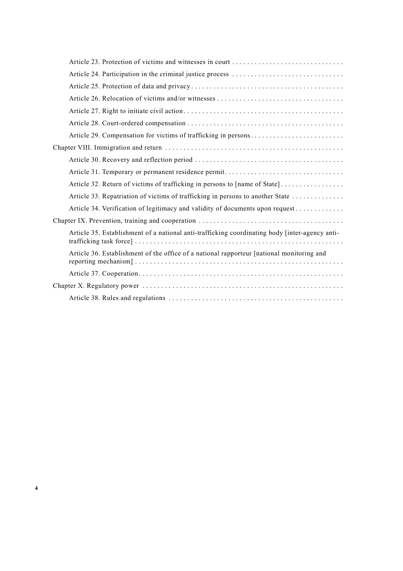| Article 29. Compensation for victims of trafficking in persons                                 |
|------------------------------------------------------------------------------------------------|
|                                                                                                |
|                                                                                                |
|                                                                                                |
| Article 32. Return of victims of trafficking in persons to [name of State]                     |
| Article 33. Repatriation of victims of trafficking in persons to another State                 |
| Article 34. Verification of legitimacy and validity of documents upon request                  |
|                                                                                                |
| Article 35. Establishment of a national anti-trafficking coordinating body [inter-agency anti- |
| Article 36. Establishment of the office of a national rapporteur [national monitoring and      |
|                                                                                                |
|                                                                                                |
|                                                                                                |

**4**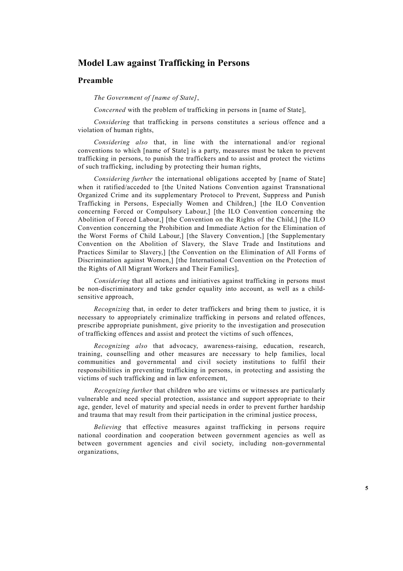# **Model Law against Trafficking in Persons**

# **Preamble**

*The Government of [name of State]*,

*Concerned* with the problem of trafficking in persons in [name of State],

*Considering* that trafficking in persons constitutes a serious offence and a violation of human rights,

*Considering also* that, in line with the international and/or regional conventions to which [name of State] is a party, measures must be taken to prevent trafficking in persons, to punish the traffickers and to assist and protect the victims of such trafficking, including by protecting their human rights,

*Considering further* the international obligations accepted by [name of State] when it ratified/acceded to [the United Nations Convention against Transnational Organized Crime and its supplementary Protocol to Prevent, Suppress and Punish Trafficking in Persons, Especially Women and Children,] [the ILO Convention concerning Forced or Compulsory Labour,] [the ILO Convention concerning the Abolition of Forced Labour,] [the Convention on the Rights of the Child,] [the ILO Convention concerning the Prohibition and Immediate Action for the Elimination of the Worst Forms of Child Labour,] [the Slavery Convention,] [the Supplementary Convention on the Abolition of Slavery, the Slave Trade and Institutions and Practices Similar to Slavery,] [the Convention on the Elimination of All Forms of Discrimination against Women,] [the International Convention on the Protection of the Rights of All Migrant Workers and Their Families],

*Considering* that all actions and initiatives against trafficking in persons must be non-discriminatory and take gender equality into account, as well as a childsensitive approach,

*Recognizing* that, in order to deter traffickers and bring them to justice, it is necessary to appropriately criminalize trafficking in persons and related offences, prescribe appropriate punishment, give priority to the investigation and prosecution of trafficking offences and assist and protect the victims of such offences,

*Recognizing also* that advocacy, awareness-raising, education, research, training, counselling and other measures are necessary to help families, local communities and governmental and civil society institutions to fulfil their responsibilities in preventing trafficking in persons, in protecting and assisting the victims of such trafficking and in law enforcement,

*Recognizing further* that children who are victims or witnesses are particularly vulnerable and need special protection, assistance and support appropriate to their age, gender, level of maturity and special needs in order to prevent further hardship and trauma that may result from their participation in the criminal justice process,

*Believing* that effective measures against trafficking in persons require national coordination and cooperation between government agencies as well as between government agencies and civil society, including non-governmental organizations,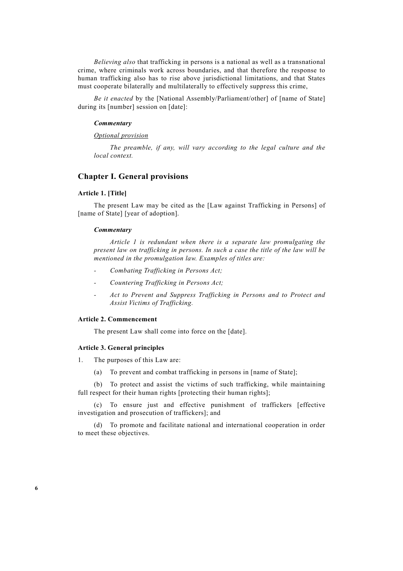*Believing also* that trafficking in persons is a national as well as a transnational crime, where criminals work across boundaries, and that therefore the response to human trafficking also has to rise above jurisdictional limitations, and that States must cooperate bilaterally and multilaterally to effectively suppress this crime,

*Be it enacted* by the [National Assembly/Parliament/other] of [name of State] during its [number] session on [date]:

### *Commentary*

# *Optional provision*

 *The preamble, if any, will vary according to the legal culture and the local context.* 

# **Chapter I. General provisions**

# **Article 1. [Title]**

 The present Law may be cited as the [Law against Trafficking in Persons] of [name of State] [year of adoption].

### *Commentary*

 *Article 1 is redundant when there is a separate law promulgating the present law on trafficking in persons. In such a case the title of the law will be mentioned in the promulgation law. Examples of titles are:* 

- *Combating Trafficking in Persons Act;*
- *Countering Trafficking in Persons Act;*
- *Act to Prevent and Suppress Trafficking in Persons and to Protect and Assist Victims of Trafficking.*

### **Article 2. Commencement**

The present Law shall come into force on the [date].

### **Article 3. General principles**

1. The purposes of this Law are:

(a) To prevent and combat trafficking in persons in [name of State];

 (b) To protect and assist the victims of such trafficking, while maintaining full respect for their human rights [protecting their human rights];

 (c) To ensure just and effective punishment of traffickers [effective investigation and prosecution of traffickers]; and

 (d) To promote and facilitate national and international cooperation in order to meet these objectives.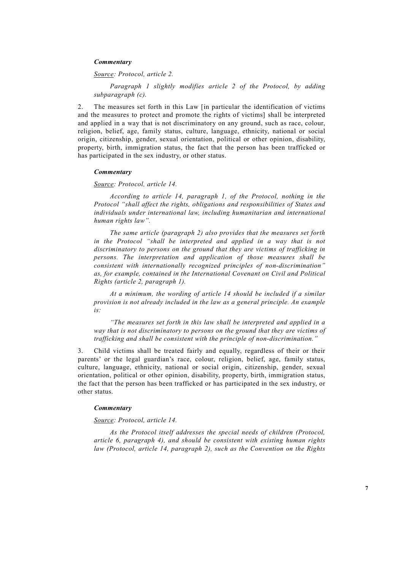# *Commentary*

 *Source: Protocol, article 2.* 

 *Paragraph 1 slightly modifies article 2 of the Protocol, by adding subparagraph (c).* 

2. The measures set forth in this Law [in particular the identification of victims and the measures to protect and promote the rights of victims] shall be interpreted and applied in a way that is not discriminatory on any ground, such as race, colour, religion, belief, age, family status, culture, language, ethnicity, national or social origin, citizenship, gender, sexual orientation, political or other opinion, disability, property, birth, immigration status, the fact that the person has been trafficked or has participated in the sex industry, or other status.

### *Commentary*

 *Source: Protocol, article 14.* 

 *According to article 14, paragraph 1, of the Protocol, nothing in the Protocol "shall affect the rights, obligations and responsibilities of States and individuals under international law, including humanitarian and international human rights law".* 

 *The same article (paragraph 2) also provides that the measures set forth*  in the Protocol "shall be interpreted and applied in a way that is not *discriminatory to persons on the ground that they are victims of trafficking in persons. The interpretation and application of those measures shall be consistent with internationally recognized principles of non-discrimination" as, for example, contained in the International Covenant on Civil and Political Rights (article 2, paragraph 1).* 

 *At a minimum, the wording of article 14 should be included if a similar provision is not already included in the law as a general principle. An example is:* 

 *"The measures set forth in this law shall be interpreted and applied in a way that is not discriminatory to persons on the ground that they are victims of trafficking and shall be consistent with the principle of non-discrimination."* 

3. Child victims shall be treated fairly and equally, regardless of their or their parents' or the legal guardian's race, colour, religion, belief, age, family status, culture, language, ethnicity, national or social origin, citizenship, gender, sexual orientation, political or other opinion, disability, property, birth, immigration status, the fact that the person has been trafficked or has participated in the sex industry, or other status.

# *Commentary*

 *Source: Protocol, article 14.* 

 *As the Protocol itself addresses the special needs of children (Protocol, article 6, paragraph 4), and should be consistent with existing human rights law (Protocol, article 14, paragraph 2), such as the Convention on the Rights*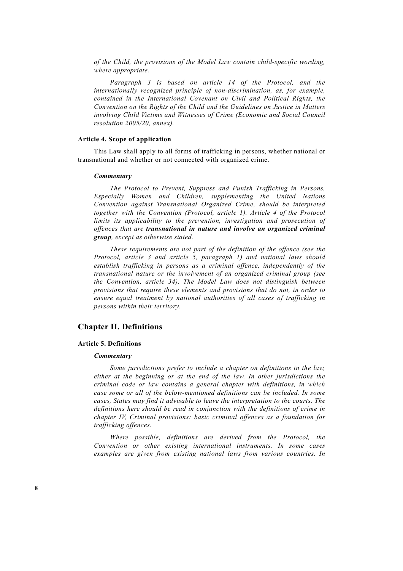*of the Child, the provisions of the Model Law contain child-specific wording, where appropriate.* 

 *Paragraph 3 is based on article 14 of the Protocol, and the internationally recognized principle of non-discrimination, as, for example, contained in the International Covenant on Civil and Political Rights, the Convention on the Rights of the Child and the Guidelines on Justice in Matters involving Child Victims and Witnesses of Crime (Economic and Social Council resolution 2005/20, annex).* 

### **Article 4. Scope of application**

 This Law shall apply to all forms of trafficking in persons, whether national or transnational and whether or not connected with organized crime.

# *Commentary*

 *The Protocol to Prevent, Suppress and Punish Trafficking in Persons, Especially Women and Children, supplementing the United Nations Convention against Transnational Organized Crime, should be interpreted together with the Convention (Protocol, article 1). Article 4 of the Protocol limits its applicability to the prevention, investigation and prosecution of offences that are transnational in nature and involve an organized criminal group, except as otherwise stated.* 

 *These requirements are not part of the definition of the offence (see the Protocol, article 3 and article 5, paragraph 1) and national laws should establish trafficking in persons as a criminal offence, independently of the transnational nature or the involvement of an organized criminal group (see the Convention, article 34). The Model Law does not distinguish between provisions that require these elements and provisions that do not, in order to ensure equal treatment by national authorities of all cases of trafficking in persons within their territory.* 

# **Chapter II. Definitions**

#### **Article 5. Definitions**

### *Commentary*

 *Some jurisdictions prefer to include a chapter on definitions in the law, either at the beginning or at the end of the law. In other jurisdictions the criminal code or law contains a general chapter with definitions, in which case some or all of the below-mentioned definitions can be included. In some cases, States may find it advisable to leave the interpretation to the courts. The definitions here should be read in conjunction with the definitions of crime in chapter IV, Criminal provisions: basic criminal offences as a foundation for trafficking offences.* 

 *Where possible, definitions are derived from the Protocol, the Convention or other existing international instruments. In some cases examples are given from existing national laws from various countries. In*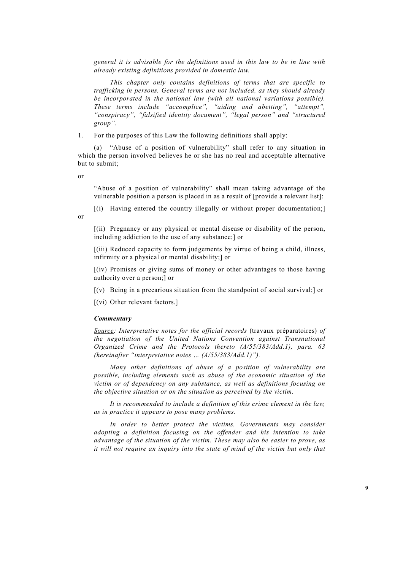*general it is advisable for the definitions used in this law to be in line with already existing definitions provided in domestic law.* 

 *This chapter only contains definitions of terms that are specific to trafficking in persons. General terms are not included, as they should already be incorporated in the national law (with all national variations possible). These terms include "accomplice", "aiding and abetting", "attempt", "conspiracy", "falsified identity document", "legal person" and "structured group".* 

1. For the purposes of this Law the following definitions shall apply:

 (a) "Abuse of a position of vulnerability" shall refer to any situation in which the person involved believes he or she has no real and acceptable alternative but to submit;

or

or

 "Abuse of a position of vulnerability" shall mean taking advantage of the vulnerable position a person is placed in as a result of [provide a relevant list]:

[(i) Having entered the country illegally or without proper documentation;]

 [(ii) Pregnancy or any physical or mental disease or disability of the person, including addiction to the use of any substance;] or

 [(iii) Reduced capacity to form judgements by virtue of being a child, illness, infirmity or a physical or mental disability;] or

 [(iv) Promises or giving sums of money or other advantages to those having authority over a person;] or

 $[(v)$  Being in a precarious situation from the standpoint of social survival; or

[(vi) Other relevant factors.]

# *Commentary*

 *Source: Interpretative notes for the official records* (travaux préparatoires) *of the negotiation of the United Nations Convention against Transnational Organized Crime and the Protocols thereto (A/55/383/Add.1), para. 63 (hereinafter "interpretative notes … (A/55/383/Add.1)").*

 *Many other definitions of abuse of a position of vulnerability are possible, including elements such as abuse of the economic situation of the victim or of dependency on any substance, as well as definitions focusing on the objective situation or on the situation as perceived by the victim.* 

 *It is recommended to include a definition of this crime element in the law, as in practice it appears to pose many problems.* 

In order to better protect the victims, Governments may consider *adopting a definition focusing on the offender and his intention to take advantage of the situation of the victim. These may also be easier to prove, as it will not require an inquiry into the state of mind of the victim but only that*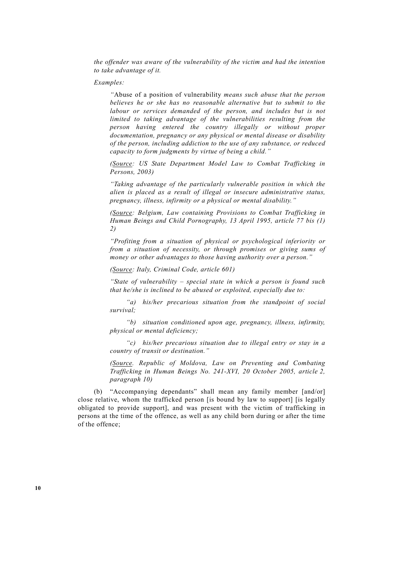*the offender was aware of the vulnerability of the victim and had the intention to take advantage of it.* 

 *Examples:* 

 *"*Abuse of a position of vulnerability *means such abuse that the person believes he or she has no reasonable alternative but to submit to the labour or services demanded of the person, and includes but is not limited to taking advantage of the vulnerabilities resulting from the person having entered the country illegally or without proper documentation, pregnancy or any physical or mental disease or disability of the person, including addiction to the use of any substance, or reduced capacity to form judgments by virtue of being a child."* 

 *(Source: US State Department Model Law to Combat Trafficking in Persons, 2003)* 

 *"Taking advantage of the particularly vulnerable position in which the alien is placed as a result of illegal or insecure administrative status, pregnancy, illness, infirmity or a physical or mental disability."* 

 *(Source: Belgium, Law containing Provisions to Combat Trafficking in Human Beings and Child Pornography, 13 April 1995, article 77 bis (1) 2)* 

 *"Profiting from a situation of physical or psychological inferiority or from a situation of necessity, or through promises or giving sums of money or other advantages to those having authority over a person."* 

 *(Source: Italy, Criminal Code, article 601)* 

 *"State of vulnerability – special state in which a person is found such that he/she is inclined to be abused or exploited, especially due to:* 

 *"a) his/her precarious situation from the standpoint of social survival;* 

 *"b) situation conditioned upon age, pregnancy, illness, infirmity, physical or mental deficiency;* 

 *"c) his/her precarious situation due to illegal entry or stay in a country of transit or destination."* 

 *(Source. Republic of Moldova, Law on Preventing and Combating Trafficking in Human Beings No. 241-XVI, 20 October 2005, article 2, paragraph 10)* 

 (b) "Accompanying dependants" shall mean any family member [and/or] close relative, whom the trafficked person [is bound by law to support] [is legally obligated to provide support], and was present with the victim of trafficking in persons at the time of the offence, as well as any child born during or after the time of the offence;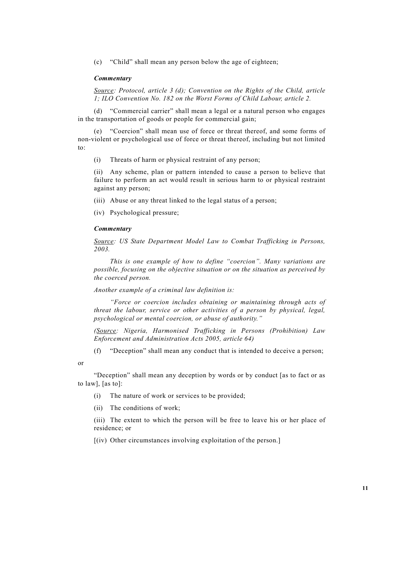(c) "Child" shall mean any person below the age of eighteen;

# *Commentary*

 *Source: Protocol, article 3 (d); Convention on the Rights of the Child, article 1; ILO Convention No. 182 on the Worst Forms of Child Labour, article 2.* 

 (d) "Commercial carrier" shall mean a legal or a natural person who engages in the transportation of goods or people for commercial gain;

"Coercion" shall mean use of force or threat thereof, and some forms of non-violent or psychological use of force or threat thereof, including but not limited  $\mathsf{to}$ :

(i) Threats of harm or physical restraint of any person;

 (ii) Any scheme, plan or pattern intended to cause a person to believe that failure to perform an act would result in serious harm to or physical restraint against any person;

(iii) Abuse or any threat linked to the legal status of a person;

(iv) Psychological pressure;

### *Commentary*

 *Source: US State Department Model Law to Combat Trafficking in Persons, 2003.* 

 *This is one example of how to define "coercion". Many variations are possible, focusing on the objective situation or on the situation as perceived by the coerced person.* 

 *Another example of a criminal law definition is:* 

 *"Force or coercion includes obtaining or maintaining through acts of threat the labour, service or other activities of a person by physical, legal, psychological or mental coercion, or abuse of authority."* 

 *(Source: Nigeria, Harmonised Trafficking in Persons (Prohibition) Law Enforcement and Administration Acts 2005, article 64)*

(f) "Deception" shall mean any conduct that is intended to deceive a person;

or

 "Deception" shall mean any deception by words or by conduct [as to fact or as to law], [as to]:

(i) The nature of work or services to be provided;

(ii) The conditions of work;

 (iii) The extent to which the person will be free to leave his or her place of residence; or

[(iv) Other circumstances involving exploitation of the person.]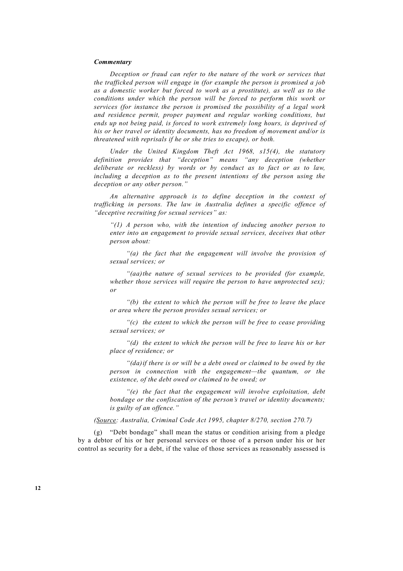# *Commentary*

 *Deception or fraud can refer to the nature of the work or services that the trafficked person will engage in (for example the person is promised a job as a domestic worker but forced to work as a prostitute), as well as to the conditions under which the person will be forced to perform this work or services (for instance the person is promised the possibility of a legal work and residence permit, proper payment and regular working conditions, but ends up not being paid, is forced to work extremely long hours, is deprived of his or her travel or identity documents, has no freedom of movement and/or is threatened with reprisals if he or she tries to escape), or both.* 

 *Under the United Kingdom Theft Act 1968, s15(4), the statutory definition provides that "deception" means "any deception (whether deliberate or reckless) by words or by conduct as to fact or as to law, including a deception as to the present intentions of the person using the deception or any other person."* 

 *An alternative approach is to define deception in the context of trafficking in persons. The law in Australia defines a specific offence of "deceptive recruiting for sexual services" as:* 

 *"(1) A person who, with the intention of inducing another person to enter into an engagement to provide sexual services, deceives that other person about:* 

 *"(a) the fact that the engagement will involve the provision of sexual services; or* 

 *"(aa) the nature of sexual services to be provided (for example, whether those services will require the person to have unprotected sex); or* 

 *"(b) the extent to which the person will be free to leave the place or area where the person provides sexual services; or* 

 *"(c) the extent to which the person will be free to cease providing sexual services; or* 

 *"(d) the extent to which the person will be free to leave his or her place of residence; or* 

 *"(da) if there is or will be a debt owed or claimed to be owed by the person in connection with the engagement—the quantum, or the existence, of the debt owed or claimed to be owed; or* 

 *"(e) the fact that the engagement will involve exploitation, debt bondage or the confiscation of the person's travel or identity documents; is guilty of an offence."* 

 *(Source: Australia, Criminal Code Act 1995, chapter 8/270, section 270.7)* 

 (g) "Debt bondage" shall mean the status or condition arising from a pledge by a debtor of his or her personal services or those of a person under his or her control as security for a debt, if the value of those services as reasonably assessed is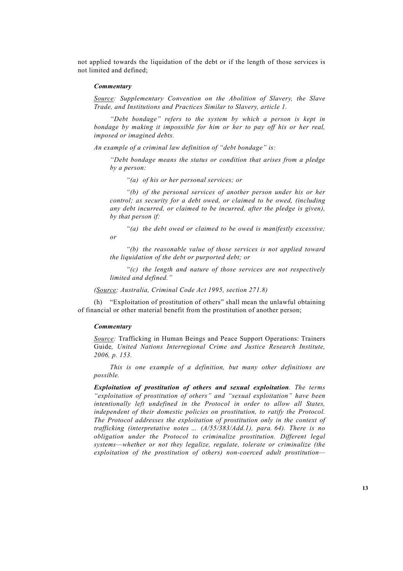not applied towards the liquidation of the debt or if the length of those services is not limited and defined;

# *Commentary*

 *Source: Supplementary Convention on the Abolition of Slavery, the Slave Trade, and Institutions and Practices Similar to Slavery, article 1.* 

 *"Debt bondage" refers to the system by which a person is kept in bondage by making it impossible for him or her to pay off his or her real, imposed or imagined debts.* 

 *An example of a criminal law definition of "debt bondage" is:* 

 *"Debt bondage means the status or condition that arises from a pledge by a person:* 

 *"(a) of his or her personal services; or* 

 *"(b) of the personal services of another person under his or her control; as security for a debt owed, or claimed to be owed, (including any debt incurred, or claimed to be incurred, after the pledge is given), by that person if:* 

 *"(a) the debt owed or claimed to be owed is manifestly excessive; or* 

 *"(b) the reasonable value of those services is not applied toward the liquidation of the debt or purported debt; or* 

 *"(c) the length and nature of those services are not respectively limited and defined."* 

 *(Source: Australia, Criminal Code Act 1995, section 271.8)* 

 (h) "Exploitation of prostitution of others" shall mean the unlawful obtaining of financial or other material benefit from the prostitution of another person;

# *Commentary*

 *Source:* Trafficking in Human Beings and Peace Support Operations: Trainers Guide*, United Nations Interregional Crime and Justice Research Institute, 2006, p. 153.* 

 *This is one example of a definition, but many other definitions are possible.* 

 *Exploitation of prostitution of others and sexual exploitation. The terms "exploitation of prostitution of others" and "sexual exploitation" have been intentionally left undefined in the Protocol in order to allow all States, independent of their domestic policies on prostitution, to ratify the Protocol. The Protocol addresses the exploitation of prostitution only in the context of trafficking (interpretative notes … (A/55/383/Add.1), para. 64). There is no obligation under the Protocol to criminalize prostitution. Different legal systems—whether or not they legalize, regulate, tolerate or criminalize (the exploitation of the prostitution of others) non-coerced adult prostitution—*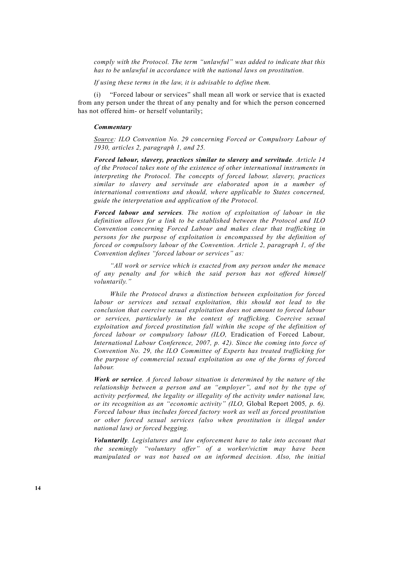*comply with the Protocol. The term "unlawful" was added to indicate that this has to be unlawful in accordance with the national laws on prostitution.* 

 *If using these terms in the law, it is advisable to define them.* 

 (i) "Forced labour or services" shall mean all work or service that is exacted from any person under the threat of any penalty and for which the person concerned has not offered him- or herself voluntarily;

### *Commentary*

 *Source: ILO Convention No. 29 concerning Forced or Compulsory Labour of 1930, articles 2, paragraph 1, and 25.* 

 *Forced labour, slavery, practices similar to slavery and servitude. Article 14 of the Protocol takes note of the existence of other international instruments in interpreting the Protocol. The concepts of forced labour, slavery, practices similar to slavery and servitude are elaborated upon in a number of international conventions and should, where applicable to States concerned, guide the interpretation and application of the Protocol.* 

 *Forced labour and services. The notion of exploitation of labour in the definition allows for a link to be established between the Protocol and ILO Convention concerning Forced Labour and makes clear that trafficking in persons for the purpose of exploitation is encompassed by the definition of forced or compulsory labour of the Convention. Article 2, paragraph 1, of the Convention defines "forced labour or services" as:* 

 *"All work or service which is exacted from any person under the menace of any penalty and for which the said person has not offered himself voluntarily."* 

 *While the Protocol draws a distinction between exploitation for forced labour or services and sexual exploitation, this should not lead to the conclusion that coercive sexual exploitation does not amount to forced labour or services, particularly in the context of trafficking. Coercive sexual exploitation and forced prostitution fall within the scope of the definition of forced labour or compulsory labour (ILO,* Eradication of Forced Labour*, International Labour Conference, 2007, p. 42). Since the coming into force of Convention No. 29, the ILO Committee of Experts has treated trafficking for the purpose of commercial sexual exploitation as one of the forms of forced labour.* 

 *Work or service. A forced labour situation is determined by the nature of the relationship between a person and an "employer", and not by the type of activity performed, the legality or illegality of the activity under national law, or its recognition as an "economic activity" (ILO,* Global Report 2005*, p. 6). Forced labour thus includes forced factory work as well as forced prostitution or other forced sexual services (also when prostitution is illegal under national law) or forced begging.* 

 *Voluntarily. Legislatures and law enforcement have to take into account that the seemingly "voluntary offer" of a worker/victim may have been manipulated or was not based on an informed decision. Also, the initial*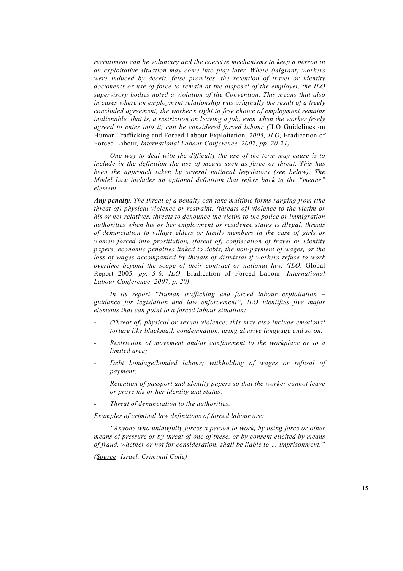*recruitment can be voluntary and the coercive mechanisms to keep a person in an exploitative situation may come into play later. Where (migrant) workers were induced by deceit, false promises, the retention of travel or identity documents or use of force to remain at the disposal of the employer, the ILO supervisory bodies noted a violation of the Convention. This means that also in cases where an employment relationship was originally the result of a freely concluded agreement, the worker's right to free choice of employment remains inalienable, that is, a restriction on leaving a job, even when the worker freely agreed to enter into it, can be considered forced labour (*ILO Guidelines on Human Trafficking and Forced Labour Exploitation*, 2005; ILO,* Eradication of Forced Labour*, International Labour Conference, 2007, pp. 20-21).* 

 *One way to deal with the difficulty the use of the term may cause is to include in the definition the use of means such as force or threat. This has been the approach taken by several national legislators (see below). The Model Law includes an optional definition that refers back to the "means" element.* 

 *Any penalty. The threat of a penalty can take multiple forms ranging from (the threat of) physical violence or restraint, (threats of) violence to the victim or his or her relatives, threats to denounce the victim to the police or immigration authorities when his or her employment or residence status is illegal, threats of denunciation to village elders or family members in the case of girls or women forced into prostitution, (threat of) confiscation of travel or identity papers, economic penalties linked to debts, the non-payment of wages, or the loss of wages accompanied by threats of dismissal if workers refuse to work overtime beyond the scope of their contract or national law. (ILO,* Global Report 2005*, pp. 5-6; ILO,* Eradication of Forced Labour*, International Labour Conference, 2007, p. 20).* 

 *In its report "Human trafficking and forced labour exploitation – guidance for legislation and law enforcement", ILO identifies five major elements that can point to a forced labour situation:* 

- *(Threat of) physical or sexual violence; this may also include emotional torture like blackmail, condemnation, using abusive language and so on;*
- *Restriction of movement and/or confinement to the workplace or to a limited area;*
- Debt bondage/bonded labour; withholding of wages or refusal of *payment;*
- *Retention of passport and identity papers so that the worker cannot leave or prove his or her identity and status;*
- *Threat of denunciation to the authorities.*

 *Examples of criminal law definitions of forced labour are:* 

 *"Anyone who unlawfully forces a person to work, by using force or other means of pressure or by threat of one of these, or by consent elicited by means of fraud, whether or not for consideration, shall be liable to … imprisonment."* 

 *(Source: Israel, Criminal Code)*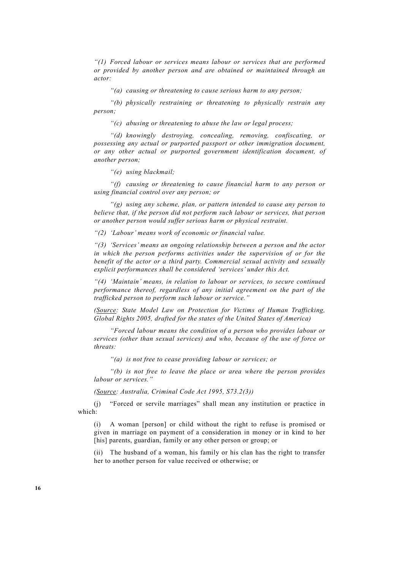*"(1) Forced labour or services means labour or services that are performed or provided by another person and are obtained or maintained through an actor:* 

 *"(a) causing or threatening to cause serious harm to any person;* 

 *"(b) physically restraining or threatening to physically restrain any person;* 

 *"(c) abusing or threatening to abuse the law or legal process;* 

 *"(d) knowingly destroying, concealing, removing, confiscating, or possessing any actual or purported passport or other immigration document, or any other actual or purported government identification document, of another person;* 

 *"(e) using blackmail;* 

 *"(f) causing or threatening to cause financial harm to any person or using financial control over any person; or* 

 *"(g) using any scheme, plan, or pattern intended to cause any person to believe that, if the person did not perform such labour or services, that person or another person would suffer serious harm or physical restraint.* 

 *"(2) 'Labour' means work of economic or financial value.* 

 *"(3) 'Services' means an ongoing relationship between a person and the actor in which the person performs activities under the supervision of or for the benefit of the actor or a third party. Commercial sexual activity and sexually explicit performances shall be considered 'services' under this Act.* 

 *"(4) 'Maintain' means, in relation to labour or services, to secure continued performance thereof, regardless of any initial agreement on the part of the trafficked person to perform such labour or service."* 

 *(Source: State Model Law on Protection for Victims of Human Trafficking, Global Rights 2005, drafted for the states of the United States of America)* 

 *"Forced labour means the condition of a person who provides labour or services (other than sexual services) and who, because of the use of force or threats:* 

 *"(a) is not free to cease providing labour or services; or* 

 *"(b) is not free to leave the place or area where the person provides labour or services."* 

 *(Source: Australia, Criminal Code Act 1995, S73.2(3))* 

 (j) "Forced or servile marriages" shall mean any institution or practice in which:

 (i) A woman [person] or child without the right to refuse is promised or given in marriage on payment of a consideration in money or in kind to her [his] parents, guardian, family or any other person or group; or

 (ii) The husband of a woman, his family or his clan has the right to transfer her to another person for value received or otherwise; or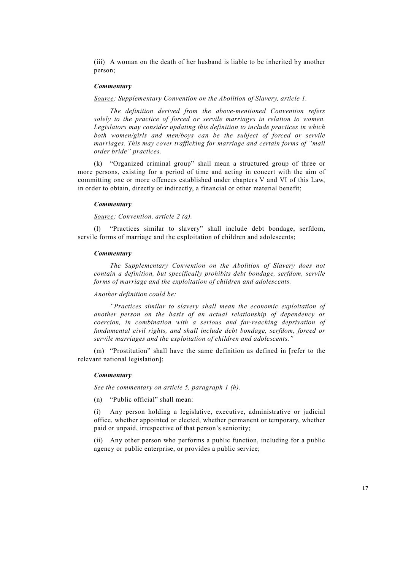(iii) A woman on the death of her husband is liable to be inherited by another person;

# *Commentary*

 *Source: Supplementary Convention on the Abolition of Slavery, article 1.* 

 *The definition derived from the above-mentioned Convention refers solely to the practice of forced or servile marriages in relation to women. Legislators may consider updating this definition to include practices in which both women/girls and men/boys can be the subject of forced or servile marriages. This may cover trafficking for marriage and certain forms of "mail order bride" practices.* 

 (k) "Organized criminal group" shall mean a structured group of three or more persons, existing for a period of time and acting in concert with the aim of committing one or more offences established under chapters V and VI of this Law, in order to obtain, directly or indirectly, a financial or other material benefit;

# *Commentary*

 *Source: Convention, article 2 (a).* 

"Practices similar to slavery" shall include debt bondage, serfdom, servile forms of marriage and the exploitation of children and adolescents;

### *Commentary*

 *The Supplementary Convention on the Abolition of Slavery does not contain a definition, but specifically prohibits debt bondage, serfdom, servile forms of marriage and the exploitation of children and adolescents.* 

# *Another definition could be:*

 *"Practices similar to slavery shall mean the economic exploitation of another person on the basis of an actual relationship of dependency or coercion, in combination with a serious and far-reaching deprivation of fundamental civil rights, and shall include debt bondage, serfdom, forced or servile marriages and the exploitation of children and adolescents."* 

 (m) "Prostitution" shall have the same definition as defined in [refer to the relevant national legislation];

### *Commentary*

 *See the commentary on article 5, paragraph 1 (h).* 

(n) "Public official" shall mean:

 (i) Any person holding a legislative, executive, administrative or judicial office, whether appointed or elected, whether permanent or temporary, whether paid or unpaid, irrespective of that person's seniority;

 (ii) Any other person who performs a public function, including for a public agency or public enterprise, or provides a public service;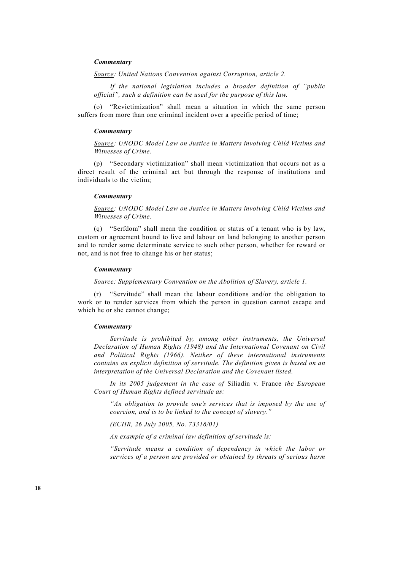# *Commentary*

 *Source: United Nations Convention against Corruption, article 2.*

 *If the national legislation includes a broader definition of "public official", such a definition can be used for the purpose of this law.* 

 (o) "Revictimization" shall mean a situation in which the same person suffers from more than one criminal incident over a specific period of time;

### *Commentary*

 *Source: UNODC Model Law on Justice in Matters involving Child Victims and Witnesses of Crime.* 

(p) "Secondary victimization" shall mean victimization that occurs not as a direct result of the criminal act but through the response of institutions and individuals to the victim;

# *Commentary*

 *Source: UNODC Model Law on Justice in Matters involving Child Victims and Witnesses of Crime.*

 (q) "Serfdom" shall mean the condition or status of a tenant who is by law, custom or agreement bound to live and labour on land belonging to another person and to render some determinate service to such other person, whether for reward or not, and is not free to change his or her status;

#### *Commentary*

 *Source: Supplementary Convention on the Abolition of Slavery, article 1.* 

 (r) "Servitude" shall mean the labour conditions and/or the obligation to work or to render services from which the person in question cannot escape and which he or she cannot change;

### *Commentary*

 *Servitude is prohibited by, among other instruments, the Universal Declaration of Human Rights (1948) and the International Covenant on Civil and Political Rights (1966). Neither of these international instruments contains an explicit definition of servitude. The definition given is based on an interpretation of the Universal Declaration and the Covenant listed.* 

 *In its 2005 judgement in the case of* Siliadin v. France *the European Court of Human Rights defined servitude as:* 

 *"An obligation to provide one's services that is imposed by the use of coercion, and is to be linked to the concept of slavery."* 

 *(ECHR, 26 July 2005, No. 73316/01)* 

 *An example of a criminal law definition of servitude is:* 

 *"Servitude means a condition of dependency in which the labor or services of a person are provided or obtained by threats of serious harm*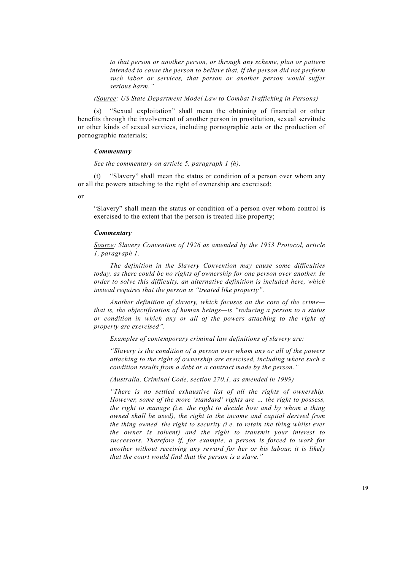*to that person or another person, or through any scheme, plan or pattern intended to cause the person to believe that, if the person did not perform such labor or services, that person or another person would suffer serious harm."* 

 *(Source: US State Department Model Law to Combat Trafficking in Persons)* 

 (s) "Sexual exploitation" shall mean the obtaining of financial or other benefits through the involvement of another person in prostitution, sexual servitude or other kinds of sexual services, including pornographic acts or the production of pornographic materials;

# *Commentary*

# *See the commentary on article 5, paragraph 1 (h).*

 (t) "Slavery" shall mean the status or condition of a person over whom any or all the powers attaching to the right of ownership are exercised;

or

"Slavery" shall mean the status or condition of a person over whom control is exercised to the extent that the person is treated like property;

### *Commentary*

 *Source: Slavery Convention of 1926 as amended by the 1953 Protocol, article 1, paragraph 1.* 

 *The definition in the Slavery Convention may cause some difficulties today, as there could be no rights of ownership for one person over another. In order to solve this difficulty, an alternative definition is included here, which instead requires that the person is "treated like property".* 

 *Another definition of slavery, which focuses on the core of the crime that is, the objectification of human beings—is "reducing a person to a status or condition in which any or all of the powers attaching to the right of property are exercised".* 

 *Examples of contemporary criminal law definitions of slavery are:* 

 *"Slavery is the condition of a person over whom any or all of the powers attaching to the right of ownership are exercised, including where such a condition results from a debt or a contract made by the person."* 

 *(Australia, Criminal Code, section 270.1, as amended in 1999)* 

 *"There is no settled exhaustive list of all the rights of ownership. However, some of the more 'standard' rights are … the right to possess, the right to manage (i.e. the right to decide how and by whom a thing owned shall be used), the right to the income and capital derived from the thing owned, the right to security (i.e. to retain the thing whilst ever the owner is solvent) and the right to transmit your interest to successors. Therefore if, for example, a person is forced to work for another without receiving any reward for her or his labour, it is likely that the court would find that the person is a slave."*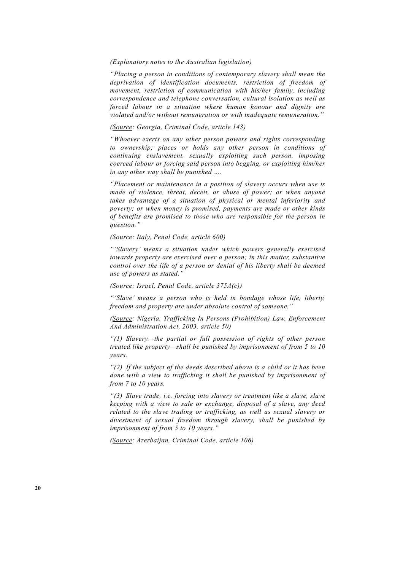### *(Explanatory notes to the Australian legislation)*

 *"Placing a person in conditions of contemporary slavery shall mean the deprivation of identification documents, restriction of freedom of movement, restriction of communication with his/her family, including correspondence and telephone conversation, cultural isolation as well as forced labour in a situation where human honour and dignity are violated and/or without remuneration or with inadequate remuneration."* 

# *(Source: Georgia, Criminal Code, article 143)*

 *"Whoever exerts on any other person powers and rights corresponding to ownership; places or holds any other person in conditions of continuing enslavement, sexually exploiting such person, imposing coerced labour or forcing said person into begging, or exploiting him/her in any other way shall be punished ….* 

 *"Placement or maintenance in a position of slavery occurs when use is made of violence, threat, deceit, or abuse of power; or when anyone takes advantage of a situation of physical or mental inferiority and poverty; or when money is promised, payments are made or other kinds of benefits are promised to those who are responsible for the person in question."* 

# *(Source: Italy, Penal Code, article 600)*

 *"'Slavery' means a situation under which powers generally exercised towards property are exercised over a person; in this matter, substantive control over the life of a person or denial of his liberty shall be deemed use of powers as stated."* 

# *(Source: Israel, Penal Code, article 375A(c))*

 *"'Slave' means a person who is held in bondage whose life, liberty, freedom and property are under absolute control of someone."* 

 *(Source: Nigeria, Trafficking In Persons (Prohibition) Law, Enforcement And Administration Act, 2003, article 50)*

 *"(1) Slavery—the partial or full possession of rights of other person treated like property—shall be punished by imprisonment of from 5 to 10 years.* 

 *"(2) If the subject of the deeds described above is a child or it has been done with a view to trafficking it shall be punished by imprisonment of from 7 to 10 years.* 

 *"(3) Slave trade, i.e. forcing into slavery or treatment like a slave, slave keeping with a view to sale or exchange, disposal of a slave, any deed related to the slave trading or trafficking, as well as sexual slavery or divestment of sexual freedom through slavery, shall be punished by imprisonment of from 5 to 10 years."* 

 *(Source: Azerbaijan, Criminal Code, article 106)*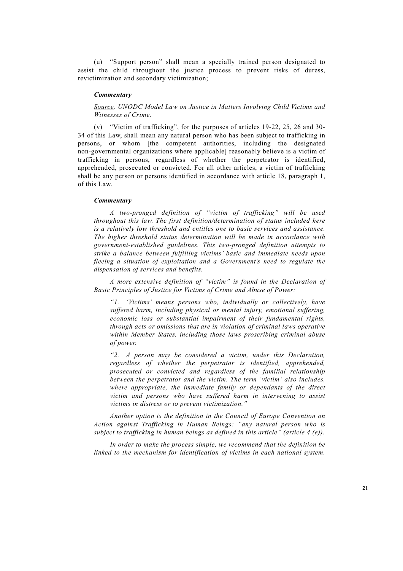(u) "Support person" shall mean a specially trained person designated to assist the child throughout the justice process to prevent risks of duress, revictimization and secondary victimization;

### *Commentary*

# *Source. UNODC Model Law on Justice in Matters Involving Child Victims and Witnesses of Crime.*

 (v) "Victim of trafficking", for the purposes of articles 19-22, 25, 26 and 30- 34 of this Law, shall mean any natural person who has been subject to trafficking in persons, or whom [the competent authorities, including the designated non-governmental organizations where applicable] reasonably believe is a victim of trafficking in persons, regardless of whether the perpetrator is identified, apprehended, prosecuted or convicted*.* For all other articles, a victim of trafficking shall be any person or persons identified in accordance with article 18, paragraph 1, of this Law.

### *Commentary*

 *A two-pronged definition of "victim of trafficking" will be used throughout this law. The first definition/determination of status included here is a relatively low threshold and entitles one to basic services and assistance. The higher threshold status determination will be made in accordance with government-established guidelines. This two-pronged definition attempts to strike a balance between fulfilling victims' basic and immediate needs upon fleeing a situation of exploitation and a Government's need to regulate the dispensation of services and benefits.* 

 *A more extensive definition of "victim" is found in the Declaration of Basic Principles of Justice for Victims of Crime and Abuse of Power:* 

 *"1. 'Victims' means persons who, individually or collectively, have suffered harm, including physical or mental injury, emotional suffering, economic loss or substantial impairment of their fundamental rights, through acts or omissions that are in violation of criminal laws operative within Member States, including those laws proscribing criminal abuse of power.* 

 *"2. A person may be considered a victim, under this Declaration, regardless of whether the perpetrator is identified, apprehended, prosecuted or convicted and regardless of the familial relationship between the perpetrator and the victim. The term 'victim' also includes, where appropriate, the immediate family or dependants of the direct victim and persons who have suffered harm in intervening to assist victims in distress or to prevent victimization."* 

 *Another option is the definition in the Council of Europe Convention on Action against Trafficking in Human Beings: "any natural person who is subject to trafficking in human beings as defined in this article" (article 4 (e)).* 

 *In order to make the process simple, we recommend that the definition be linked to the mechanism for identification of victims in each national system.*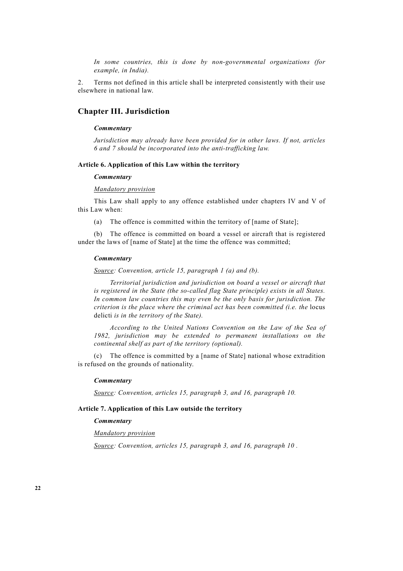*In some countries, this is done by non-governmental organizations (for example, in India).* 

2. Terms not defined in this article shall be interpreted consistently with their use elsewhere in national law.

# **Chapter III. Jurisdiction**

# *Commentary*

 *Jurisdiction may already have been provided for in other laws. If not, articles 6 and 7 should be incorporated into the anti-trafficking law.* 

# **Article 6. Application of this Law within the territory**

# *Commentary*

# *Mandatory provision*

 This Law shall apply to any offence established under chapters IV and V of this Law when:

(a) The offence is committed within the territory of [name of State];

 (b) The offence is committed on board a vessel or aircraft that is registered under the laws of [name of State] at the time the offence was committed:

### *Commentary*

 *Source: Convention, article 15, paragraph 1 (a) and (b).*

 *Territorial jurisdiction and jurisdiction on board a vessel or aircraft that is registered in the State (the so-called flag State principle) exists in all States. In common law countries this may even be the only basis for jurisdiction. The criterion is the place where the criminal act has been committed (i.e. the locus* delicti *is in the territory of the State).* 

 *According to the United Nations Convention on the Law of the Sea of 1982, jurisdiction may be extended to permanent installations on the continental shelf as part of the territory (optional).* 

 (c) The offence is committed by a [name of State] national whose extradition is refused on the grounds of nationality.

#### *Commentary*

 *Source: Convention, articles 15, paragraph 3, and 16, paragraph 10.*

# **Article 7. Application of this Law outside the territory**

# *Commentary*

 *Mandatory provision*

 *Source: Convention, articles 15, paragraph 3, and 16, paragraph 10 .*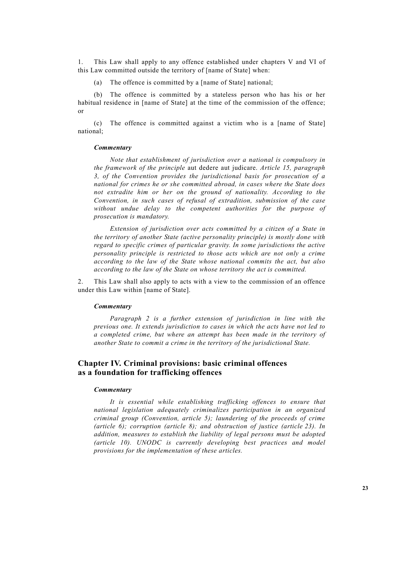1. This Law shall apply to any offence established under chapters V and VI of this Law committed outside the territory of [name of State] when:

(a) The offence is committed by a [name of State] national;

 (b) The offence is committed by a stateless person who has his or her habitual residence in [name of State] at the time of the commission of the offence; or

 (c) The offence is committed against a victim who is a [name of State] national;

# *Commentary*

 *Note that establishment of jurisdiction over a national is compulsory in the framework of the principle* aut dedere aut judicare. *Article 15, paragraph 3, of the Convention provides the jurisdictional basis for prosecution of a national for crimes he or she committed abroad, in cases where the State does not extradite him or her on the ground of nationality. According to the Convention, in such cases of refusal of extradition, submission of the case without undue delay to the competent authorities for the purpose of prosecution is mandatory.* 

 *Extension of jurisdiction over acts committed by a citizen of a State in the territory of another State (active personality principle) is mostly done with regard to specific crimes of particular gravity. In some jurisdictions the active personality principle is restricted to those acts which are not only a crime according to the law of the State whose national commits the act, but also according to the law of the State on whose territory the act is committed.* 

2. This Law shall also apply to acts with a view to the commission of an offence under this Law within [name of State].

### *Commentary*

 *Paragraph 2 is a further extension of jurisdiction in line with the previous one. It extends jurisdiction to cases in which the acts have not led to a completed crime, but where an attempt has been made in the territory of another State to commit a crime in the territory of the jurisdictional State.* 

# **Chapter IV. Criminal provisions: basic criminal offences as a foundation for trafficking offences**

# *Commentary*

 *It is essential while establishing trafficking offences to ensure that national legislation adequately criminalizes participation in an organized criminal group (Convention, article 5); laundering of the proceeds of crime (article 6); corruption (article 8); and obstruction of justice (article 23). In addition, measures to establish the liability of legal persons must be adopted (article 10). UNODC is currently developing best practices and model provisions for the implementation of these articles.*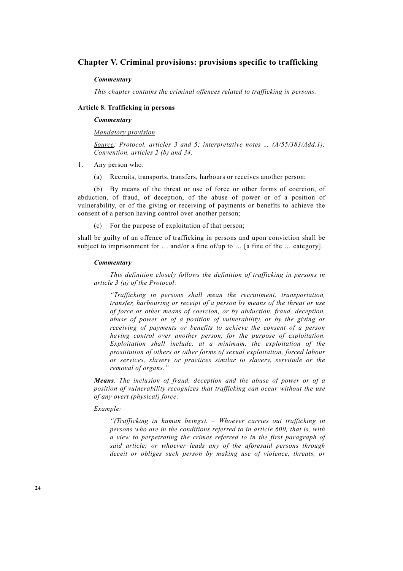# **Chapter V. Criminal provisions: provisions specific to trafficking**

### *Commentary*

 *This chapter contains the criminal offences related to trafficking in persons.* 

# **Article 8. Trafficking in persons**

# *Commentary*

 *Mandatory provision*

 *Source: Protocol, articles 3 and 5; interpretative notes … (A/55/383/Add.1); Convention, articles 2 (b) and 34.* 

- 1. Any person who:
	- (a) Recruits, transports, transfers, harbours or receives another person;

 (b) By means of the threat or use of force or other forms of coercion, of abduction, of fraud, of deception, of the abuse of power or of a position of vulnerability, or of the giving or receiving of payments or benefits to achieve the consent of a person having control over another person;

(c) For the purpose of exploitation of that person;

shall be guilty of an offence of trafficking in persons and upon conviction shall be subject to imprisonment for ... and/or a fine of/up to ... [a fine of the ... category].

### *Commentary*

 *This definition closely follows the definition of trafficking in persons in article 3 (a) of the Protocol:* 

 *"Trafficking in persons shall mean the recruitment, transportation, transfer, harbouring or receipt of a person by means of the threat or use of force or other means of coercion, or by abduction, fraud, deception, abuse of power or of a position of vulnerability, or by the giving or receiving of payments or benefits to achieve the consent of a person having control over another person, for the purpose of exploitation. Exploitation shall include, at a minimum, the exploitation of the prostitution of others or other forms of sexual exploitation, forced labour or services, slavery or practices similar to slavery, servitude or the removal of organs."* 

 *Means. The inclusion of fraud, deception and the abuse of power or of a position of vulnerability recognizes that trafficking can occur without the use of any overt (physical) force.* 

# *Example:*

 *"(Trafficking in human beings). – Whoever carries out trafficking in persons who are in the conditions referred to in article 600, that is, with a view to perpetrating the crimes referred to in the first paragraph of said article; or whoever leads any of the aforesaid persons through deceit or obliges such person by making use of violence, threats, or*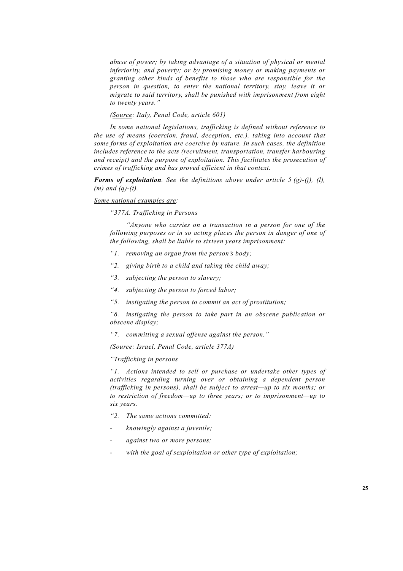*abuse of power; by taking advantage of a situation of physical or mental inferiority, and poverty; or by promising money or making payments or granting other kinds of benefits to those who are responsible for the person in question, to enter the national territory, stay, leave it or migrate to said territory, shall be punished with imprisonment from eight to twenty years."* 

# *(Source: Italy, Penal Code, article 601)*

 *In some national legislations, trafficking is defined without reference to the use of means (coercion, fraud, deception, etc.), taking into account that some forms of exploitation are coercive by nature. In such cases, the definition includes reference to the acts (recruitment, transportation, transfer harbouring and receipt) and the purpose of exploitation. This facilitates the prosecution of crimes of trafficking and has proved efficient in that context.* 

 *Forms of exploitation. See the definitions above under article 5 (g)-(j), (l), (m) and (q)-(t).* 

# *Some national examples are:*

 *"377A. Trafficking in Persons* 

 *"Anyone who carries on a transaction in a person for one of the following purposes or in so acting places the person in danger of one of the following, shall be liable to sixteen years imprisonment:* 

- *"1. removing an organ from the person's body;*
- *"2. giving birth to a child and taking the child away;*
- *"3. subjecting the person to slavery;*
- *"4. subjecting the person to forced labor;*
- *"5. instigating the person to commit an act of prostitution;*

 *"6. instigating the person to take part in an obscene publication or obscene display;* 

 *"7. committing a sexual offense against the person."* 

 *(Source: Israel, Penal Code, article 377A)* 

# *"Trafficking in persons*

 *"1. Actions intended to sell or purchase or undertake other types of activities regarding turning over or obtaining a dependent person (trafficking in persons), shall be subject to arrest—up to six months; or to restriction of freedom—up to three years; or to imprisonment—up to six years.* 

- *"2. The same actions committed:*
- *knowingly against a juvenile;*
- *against two or more persons;*
- *with the goal of sexploitation or other type of exploitation;*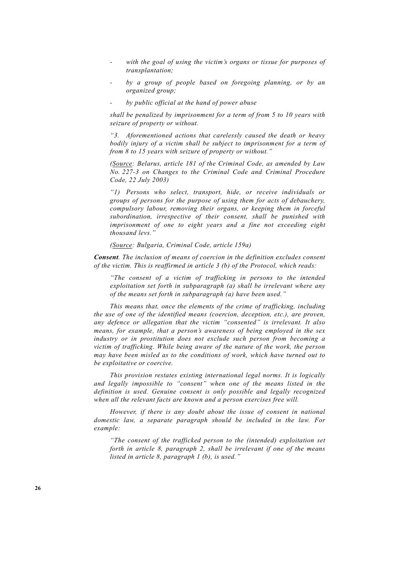- with the goal of using the victim's organs or tissue for purposes of *transplantation;*
- *by a group of people based on foregoing planning, or by an organized group;*
- *by public official at the hand of power abuse*

 *shall be penalized by imprisonment for a term of from 5 to 10 years with seizure of property or without.* 

 *"3. Aforementioned actions that carelessly caused the death or heavy bodily injury of a victim shall be subject to imprisonment for a term of from 8 to 15 years with seizure of property or without."*

 *(Source: Belarus, article 181 of the Criminal Code, as amended by Law No. 227-3 on Changes to the Criminal Code and Criminal Procedure Code, 22 July 2003)* 

 *"1) Persons who select, transport, hide, or receive individuals or groups of persons for the purpose of using them for acts of debauchery, compulsory labour, removing their organs, or keeping them in forceful subordination, irrespective of their consent, shall be punished with imprisonment of one to eight years and a fine not exceeding eight thousand levs."* 

 *(Source: Bulgaria, Criminal Code, article 159a)* 

 *Consent. The inclusion of means of coercion in the definition excludes consent of the victim. This is reaffirmed in article 3 (b) of the Protocol, which reads:* 

 *"The consent of a victim of trafficking in persons to the intended exploitation set forth in subparagraph (a) shall be irrelevant where any of the means set forth in subparagraph (a) have been used."* 

 *This means that, once the elements of the crime of trafficking, including the use of one of the identified means (coercion, deception, etc.), are proven, any defence or allegation that the victim "consented" is irrelevant. It also means, for example, that a person's awareness of being employed in the sex industry or in prostitution does not exclude such person from becoming a victim of trafficking. While being aware of the nature of the work, the person may have been misled as to the conditions of work, which have turned out to be exploitative or coercive.* 

 *This provision restates existing international legal norms. It is logically and legally impossible to "consent" when one of the means listed in the definition is used. Genuine consent is only possible and legally recognized when all the relevant facts are known and a person exercises free will.* 

 *However, if there is any doubt about the issue of consent in national domestic law, a separate paragraph should be included in the law. For example:* 

 *"The consent of the trafficked person to the (intended) exploitation set forth in article 8, paragraph 2, shall be irrelevant if one of the means listed in article 8, paragraph 1 (b), is used."*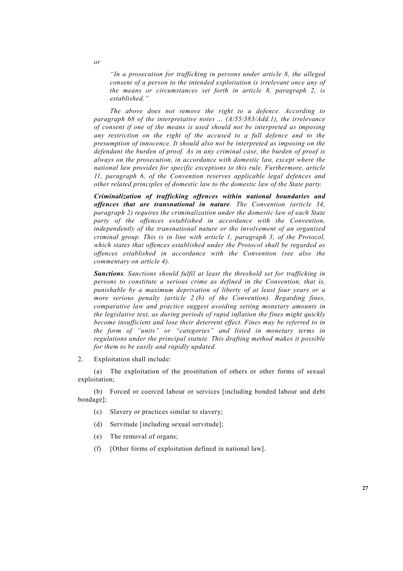*"In a prosecution for trafficking in persons under article 8, the alleged consent of a person to the intended exploitation is irrelevant once any of the means or circumstances set forth in article 8, paragraph 2, is established."* 

 *The above does not remove the right to a defence. According to paragraph 68 of the interpretative notes … (A/55/383/Add.1), the irrelevance of consent if one of the means is used should not be interpreted as imposing any restriction on the right of the accused to a full defence and to the presumption of innocence. It should also not be interpreted as imposing on the defendant the burden of proof. As in any criminal case, the burden of proof is always on the prosecution, in accordance with domestic law, except where the national law provides for specific exceptions to this rule. Furthermore, article 11, paragraph 6, of the Convention reserves applicable legal defences and other related principles of domestic law to the domestic law of the State party.* 

 *Criminalization of trafficking offences within national boundaries and offences that are transnational in nature. The Convention (article 34, paragraph 2) requires the criminalization under the domestic law of each State party of the offences established in accordance with the Convention, independently of the transnational nature or the involvement of an organized criminal group. This is in line with article 1, paragraph 3, of the Protocol, which states that offences established under the Protocol shall be regarded as offences established in accordance with the Convention (see also the commentary on article 4).* 

 *Sanctions. Sanctions should fulfil at least the threshold set for trafficking in persons to constitute a serious crime as defined in the Convention, that is, punishable by a maximum deprivation of liberty of at least four years or a more serious penalty (article 2 (b) of the Convention). Regarding fines, comparative law and practice suggest avoiding setting monetary amounts in the legislative text, as during periods of rapid inflation the fines might quickly become insufficient and lose their deterrent effect. Fines may be referred to in the form of "units" or "categories" and listed in monetary terms in regulations under the principal statute. This drafting method makes it possible for them to be easily and rapidly updated.*

2. Exploitation shall include:

 (a) The exploitation of the prostitution of others or other forms of sexual exploitation;

 (b) Forced or coerced labour or services [including bonded labour and debt bondage];

- (c) Slavery or practices similar to slavery;
- (d) Servitude [including sexual servitude];
- (e) The removal of organs;
- (f) [Other forms of exploitation defined in national law].

 *or*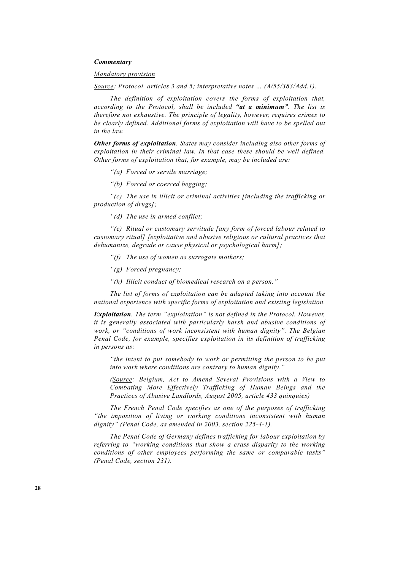# *Commentary*

### *Mandatory provision*

 *Source: Protocol, articles 3 and 5; interpretative notes … (A/55/383/Add.1).* 

 *The definition of exploitation covers the forms of exploitation that, according to the Protocol, shall be included "at a minimum". The list is therefore not exhaustive. The principle of legality, however, requires crimes to be clearly defined. Additional forms of exploitation will have to be spelled out in the law.* 

 *Other forms of exploitation. States may consider including also other forms of exploitation in their criminal law. In that case these should be well defined. Other forms of exploitation that, for example, may be included are:* 

- *"(a) Forced or servile marriage;*
- *"(b) Forced or coerced begging;*

 *"(c) The use in illicit or criminal activities [including the trafficking or production of drugs];* 

 *"(d) The use in armed conflict;* 

 *"(e) Ritual or customary servitude [any form of forced labour related to customary ritual] [exploitative and abusive religious or cultural practices that dehumanize, degrade or cause physical or psychological harm];* 

- *"(f) The use of women as surrogate mothers;*
- *"(g) Forced pregnancy;*
- *"(h) Illicit conduct of biomedical research on a person."*

 *The list of forms of exploitation can be adapted taking into account the national experience with specific forms of exploitation and existing legislation.* 

 *Exploitation. The term "exploitation" is not defined in the Protocol. However, it is generally associated with particularly harsh and abusive conditions of work, or "conditions of work inconsistent with human dignity". The Belgian Penal Code, for example, specifies exploitation in its definition of trafficking in persons as:* 

 *"the intent to put somebody to work or permitting the person to be put into work where conditions are contrary to human dignity."* 

 *(Source: Belgium, Act to Amend Several Provisions with a View to Combating More Effectively Trafficking of Human Beings and the Practices of Abusive Landlords, August 2005, article 433 quinquies)* 

 *The French Penal Code specifies as one of the purposes of trafficking "the imposition of living or working conditions inconsistent with human dignity" (Penal Code, as amended in 2003, section 225-4-1).* 

 *The Penal Code of Germany defines trafficking for labour exploitation by referring to "working conditions that show a crass disparity to the working conditions of other employees performing the same or comparable tasks" (Penal Code, section 231).*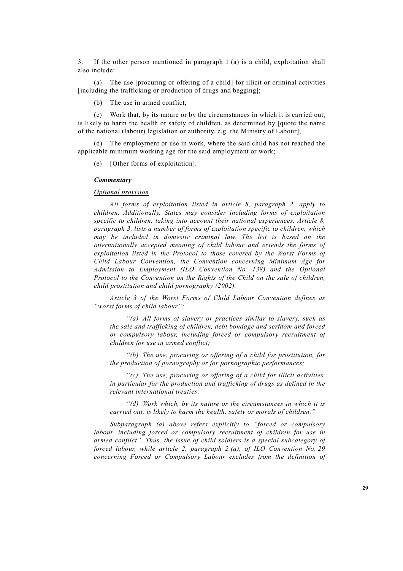3. If the other person mentioned in paragraph 1 (a) is a child, exploitation shall also include:

 (a) The use [procuring or offering of a child] for illicit or criminal activities [including the trafficking or production of drugs and begging];

(b) The use in armed conflict;

 (c) Work that, by its nature or by the circumstances in which it is carried out, is likely to harm the health or safety of children, as determined by [quote the name of the national (labour) legislation or authority, e.g. the Ministry of Labour];

 (d) The employment or use in work, where the said child has not reached the applicable minimum working age for the said employment or work;

(e) [Other forms of exploitation].

### *Commentary*

# *Optional provision*

 *All forms of exploitation listed in article 8, paragraph 2, apply to children. Additionally, States may consider including forms of exploitation specific to children, taking into account their national experiences. Article 8, paragraph 3, lists a number of forms of exploitation specific to children, which may be included in domestic criminal law. The list is based on the internationally accepted meaning of child labour and extends the forms of exploitation listed in the Protocol to those covered by the Worst Forms of Child Labour Convention, the Convention concerning Minimum Age for Admission to Employment (ILO Convention No. 138) and the Optional Protocol to the Convention on the Rights of the Child on the sale of children, child prostitution and child pornography (2002).* 

 *Article 3 of the Worst Forms of Child Labour Convention defines as "worst forms of child labour":* 

 *"(a) All forms of slavery or practices similar to slavery, such as the sale and trafficking of children, debt bondage and serfdom and forced or compulsory labour, including forced or compulsory recruitment of children for use in armed conflict;* 

 *"(b) The use, procuring or offering of a child for prostitution, for the production of pornography or for pornographic performances;* 

 *"(c) The use, procuring or offering of a child for illicit activities, in particular for the production and trafficking of drugs as defined in the relevant international treaties;* 

 *"(d) Work which, by its nature or the circumstances in which it is carried out, is likely to harm the health, safety or morals of children."* 

 *Subparagraph (a) above refers explicitly to "forced or compulsory labour, including forced or compulsory recruitment of children for use in armed conflict". Thus, the issue of child soldiers is a special subcategory of forced labour, while article 2, paragraph 2 (a), of ILO Convention No. 29 concerning Forced or Compulsory Labour excludes from the definition of*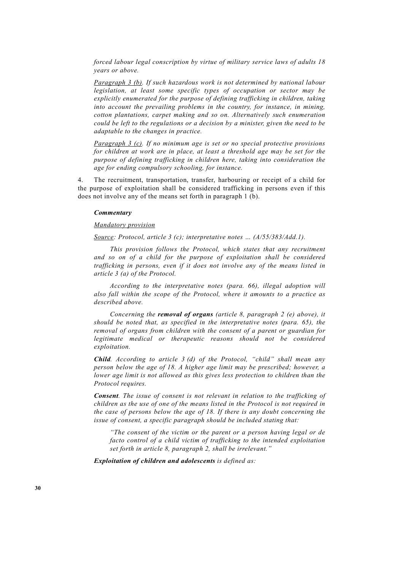*forced labour legal conscription by virtue of military service laws of adults 18 years or above.* 

 *Paragraph 3 (b). If such hazardous work is not determined by national labour legislation, at least some specific types of occupation or sector may be explicitly enumerated for the purpose of defining trafficking in children, taking into account the prevailing problems in the country, for instance, in mining, cotton plantations, carpet making and so on. Alternatively such enumeration could be left to the regulations or a decision by a minister, given the need to be adaptable to the changes in practice.* 

 *Paragraph 3 (c). If no minimum age is set or no special protective provisions for children at work are in place, at least a threshold age may be set for the purpose of defining trafficking in children here, taking into consideration the age for ending compulsory schooling, for instance.* 

4. The recruitment, transportation, transfer, harbouring or receipt of a child for the purpose of exploitation shall be considered trafficking in persons even if this does not involve any of the means set forth in paragraph 1 (b).

### *Commentary*

# *Mandatory provision*

 *Source: Protocol, article 3 (c); interpretative notes … (A/55/383/Add.1).* 

 *This provision follows the Protocol, which states that any recruitment and so on of a child for the purpose of exploitation shall be considered trafficking in persons, even if it does not involve any of the means listed in article 3 (a) of the Protocol.* 

 *According to the interpretative notes (para. 66), illegal adoption will also fall within the scope of the Protocol, where it amounts to a practice as described above.* 

 *Concerning the removal of organs (article 8, paragraph 2 (e) above), it should be noted that, as specified in the interpretative notes (para. 65), the removal of organs from children with the consent of a parent or guardian for legitimate medical or therapeutic reasons should not be considered exploitation.* 

 *Child. According to article 3 (d) of the Protocol, "child" shall mean any person below the age of 18. A higher age limit may be prescribed; however, a lower age limit is not allowed as this gives less protection to children than the Protocol requires.* 

 *Consent. The issue of consent is not relevant in relation to the trafficking of children as the use of one of the means listed in the Protocol is not required in the case of persons below the age of 18. If there is any doubt concerning the issue of consent, a specific paragraph should be included stating that:* 

 *"The consent of the victim or the parent or a person having legal or de facto control of a child victim of trafficking to the intended exploitation set forth in article 8, paragraph 2, shall be irrelevant."* 

 *Exploitation of children and adolescents is defined as:*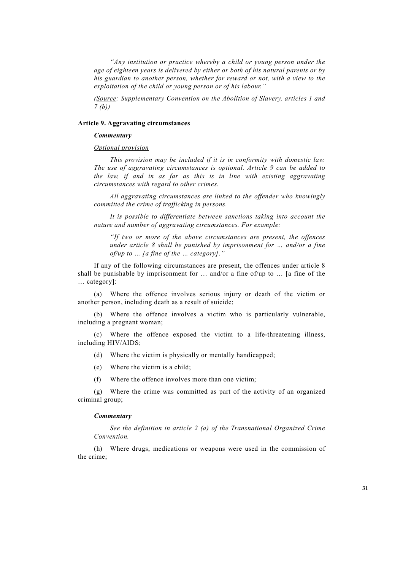*"Any institution or practice whereby a child or young person under the age of eighteen years is delivered by either or both of his natural parents or by his guardian to another person, whether for reward or not, with a view to the exploitation of the child or young person or of his labour."* 

 *(Source: Supplementary Convention on the Abolition of Slavery, articles 1 and 7 (b))* 

### **Article 9. Aggravating circumstances**

# *Commentary*

 *Optional provision*

 *This provision may be included if it is in conformity with domestic law. The use of aggravating circumstances is optional. Article 9 can be added to the law, if and in as far as this is in line with existing aggravating circumstances with regard to other crimes.* 

 *All aggravating circumstances are linked to the offender who knowingly committed the crime of trafficking in persons.* 

 *It is possible to differentiate between sanctions taking into account the nature and number of aggravating circumstances. For example:* 

 *"If two or more of the above circumstances are present, the offences under article 8 shall be punished by imprisonment for … and/or a fine of/up to … [a fine of the … category]."* 

 If any of the following circumstances are present, the offences under article 8 shall be punishable by imprisonment for  $\ldots$  and/or a fine of/up to  $\ldots$  [a fine of the … category]:

 (a) Where the offence involves serious injury or death of the victim or another person, including death as a result of suicide;

 (b) Where the offence involves a victim who is particularly vulnerable, including a pregnant woman;

 (c) Where the offence exposed the victim to a life-threatening illness, including HIV/AIDS;

(d) Where the victim is physically or mentally handicapped;

- (e) Where the victim is a child;
- (f) Where the offence involves more than one victim;

 (g) Where the crime was committed as part of the activity of an organized criminal group;

### *Commentary*

 *See the definition in article 2 (a) of the Transnational Organized Crime Convention.*

 (h) Where drugs, medications or weapons were used in the commission of the crime;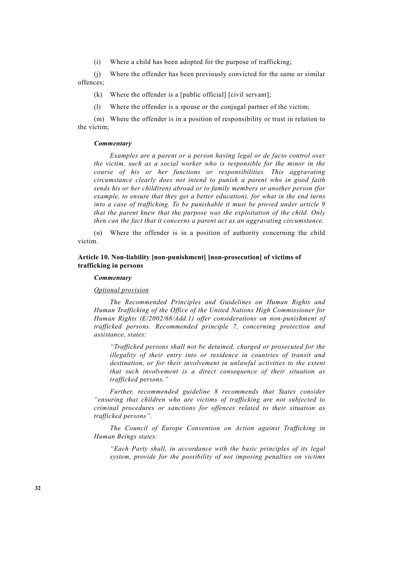(i) Where a child has been adopted for the purpose of trafficking;

 (j) Where the offender has been previously convicted for the same or similar offences;

- (k) Where the offender is a [public official] [civil servant];
- (l) Where the offender is a spouse or the conjugal partner of the victim;

 (m) Where the offender is in a position of responsibility or trust in relation to the victim;

# *Commentary*

 *Examples are a parent or a person having legal or de facto control over the victim, such as a social worker who is responsible for the minor in the course of his or her functions or responsibilities. This aggravating circumstance clearly does not intend to punish a parent who in good faith sends his or her child(ren) abroad or to family members or another person (for example, to ensure that they get a better education), for what in the end turns into a case of trafficking. To be punishable it must be proved under article 9 that the parent knew that the purpose was the exploitation of the child. Only then can the fact that it concerns a parent act as an aggravating circumstance.* 

 (n) Where the offender is in a position of authority concerning the child victim.

# **Article 10. Non-liability [non-punishment] [non-prosecution] of victims of trafficking in persons**

### *Commentary*

### *Optional provision*

 *The Recommended Principles and Guidelines on Human Rights and Human Trafficking of the Office of the United Nations High Commissioner for Human Rights (E/2002/68/Add.1) offer considerations on non-punishment of trafficked persons. Recommended principle 7, concerning protection and assistance, states:* 

 *"Trafficked persons shall not be detained, charged or prosecuted for the illegality of their entry into or residence in countries of transit and destination, or for their involvement in unlawful activities to the extent that such involvement is a direct consequence of their situation as trafficked persons."* 

 *Further, recommended guideline 8 recommends that States consider "ensuring that children who are victims of trafficking are not subjected to criminal procedures or sanctions for offences related to their situation as trafficked persons".* 

 *The Council of Europe Convention on Action against Trafficking in Human Beings states:* 

 *"Each Party shall, in accordance with the basic principles of its legal system, provide for the possibility of not imposing penalties on victims*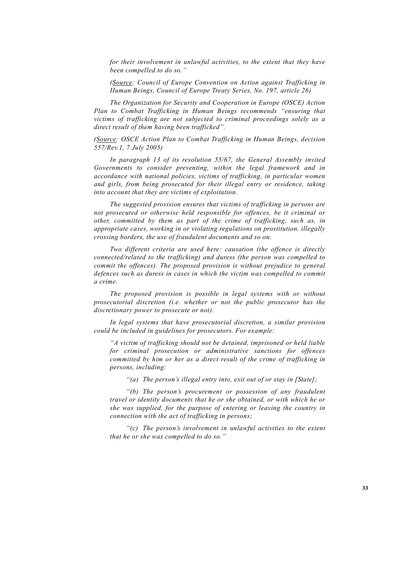*for their involvement in unlawful activities, to the extent that they have been compelled to do so."* 

 *(Source: Council of Europe Convention on Action against Trafficking in Human Beings, Council of Europe Treaty Series, No. 197, article 26)* 

 *The Organization for Security and Cooperation in Europe (OSCE) Action Plan to Combat Trafficking in Human Beings recommends "ensuring that victims of trafficking are not subjected to criminal proceedings solely as a direct result of them having been trafficked".* 

 *(Source: OSCE Action Plan to Combat Trafficking in Human Beings, decision 557/Rev.1, 7 July 2005)* 

 *In paragraph 13 of its resolution 55/67, the General Assembly invited Governments to consider preventing, within the legal framework and in accordance with national policies, victims of trafficking, in particular women and girls, from being prosecuted for their illegal entry or residence, taking into account that they are victims of exploitation.* 

 *The suggested provision ensures that victims of trafficking in persons are not prosecuted or otherwise held responsible for offences, be it criminal or other, committed by them as part of the crime of trafficking, such as, in appropriate cases, working in or violating regulations on prostitution, illegally crossing borders, the use of fraudulent documents and so on.* 

 *Two different criteria are used here: causation (the offence is directly connected/related to the trafficking) and duress (the person was compelled to commit the offences). The proposed provision is without prejudice to general defences such as duress in cases in which the victim was compelled to commit a crime.* 

 *The proposed provision is possible in legal systems with or without prosecutorial discretion (i.e. whether or not the public prosecutor has the discretionary power to prosecute or not).* 

 *In legal systems that have prosecutorial discretion, a similar provision could be included in guidelines for prosecutors. For example:*

 *"A victim of trafficking should not be detained, imprisoned or held liable for criminal prosecution or administrative sanctions for offences committed by him or her as a direct result of the crime of trafficking in persons, including:* 

 *"(a) The person's illegal entry into, exit out of or stay in [State];* 

 *"(b) The person's procurement or possession of any fraudulent travel or identity documents that he or she obtained, or with which he or she was supplied, for the purpose of entering or leaving the country in connection with the act of trafficking in persons;* 

 *"(c) The person's involvement in unlawful activities to the extent that he or she was compelled to do so."*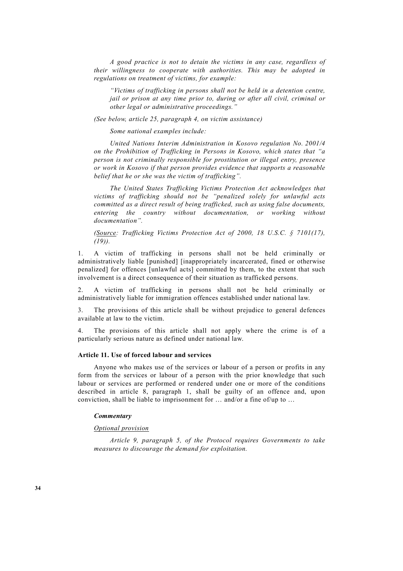*A good practice is not to detain the victims in any case, regardless of their willingness to cooperate with authorities. This may be adopted in regulations on treatment of victims, for example:* 

 *"Victims of trafficking in persons shall not be held in a detention centre, jail or prison at any time prior to, during or after all civil, criminal or other legal or administrative proceedings."* 

 *(See below, article 25, paragraph 4, on victim assistance)* 

*Some national examples include:* 

 *United Nations Interim Administration in Kosovo regulation No. 2001/4 on the Prohibition of Trafficking in Persons in Kosovo, which states that "a person is not criminally responsible for prostitution or illegal entry, presence or work in Kosovo if that person provides evidence that supports a reasonable belief that he or she was the victim of trafficking".* 

 *The United States Trafficking Victims Protection Act acknowledges that victims of trafficking should not be "penalized solely for unlawful acts committed as a direct result of being trafficked, such as using false documents, entering the country without documentation, or working without documentation".* 

 *(Source: Trafficking Victims Protection Act of 2000, 18 U.S.C. § 7101(17), (19)).*

1. A victim of trafficking in persons shall not be held criminally or administratively liable [punished] [inappropriately incarcerated, fined or otherwise penalized] for offences [unlawful acts] committed by them, to the extent that such involvement is a direct consequence of their situation as trafficked persons.

2. A victim of trafficking in persons shall not be held criminally or administratively liable for immigration offences established under national law.

3. The provisions of this article shall be without prejudice to general defences available at law to the victim.

4. The provisions of this article shall not apply where the crime is of a particularly serious nature as defined under national law.

# **Article 11. Use of forced labour and services**

 Anyone who makes use of the services or labour of a person or profits in any form from the services or labour of a person with the prior knowledge that such labour or services are performed or rendered under one or more of the conditions described in article 8, paragraph 1, shall be guilty of an offence and, upon conviction, shall be liable to imprisonment for … and/or a fine of/up to …

### *Commentary*

### *Optional provision*

 *Article 9, paragraph 5, of the Protocol requires Governments to take measures to discourage the demand for exploitation.*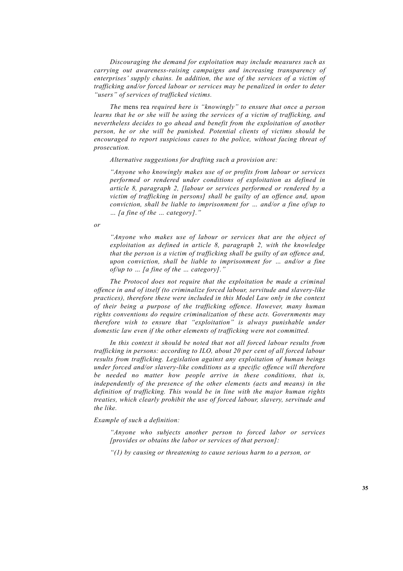*Discouraging the demand for exploitation may include measures such as carrying out awareness-raising campaigns and increasing transparency of enterprises' supply chains. In addition, the use of the services of a victim of trafficking and/or forced labour or services may be penalized in order to deter "users" of services of trafficked victims.* 

 *The* mens rea *required here is "knowingly" to ensure that once a person learns that he or she will be using the services of a victim of trafficking, and nevertheless decides to go ahead and benefit from the exploitation of another person, he or she will be punished. Potential clients of victims should be encouraged to report suspicious cases to the police, without facing threat of prosecution.* 

 *Alternative suggestions for drafting such a provision are:* 

 *"Anyone who knowingly makes use of or profits from labour or services performed or rendered under conditions of exploitation as defined in article 8, paragraph 2, [labour or services performed or rendered by a victim of trafficking in persons] shall be guilty of an offence and, upon conviction, shall be liable to imprisonment for … and/or a fine of/up to … [a fine of the … category]."* 

 *or* 

 *"Anyone who makes use of labour or services that are the object of exploitation as defined in article 8, paragraph 2, with the knowledge that the person is a victim of trafficking shall be guilty of an offence and, upon conviction, shall be liable to imprisonment for … and/or a fine of/up to … [a fine of the … category]."* 

 *The Protocol does not require that the exploitation be made a criminal offence in and of itself (to criminalize forced labour, servitude and slavery-like practices), therefore these were included in this Model Law only in the context of their being a purpose of the trafficking offence. However, many human rights conventions do require criminalization of these acts. Governments may therefore wish to ensure that "exploitation" is always punishable under domestic law even if the other elements of trafficking were not committed.* 

 *In this context it should be noted that not all forced labour results from trafficking in persons: according to ILO, about 20 per cent of all forced labour results from trafficking. Legislation against any exploitation of human beings under forced and/or slavery-like conditions as a specific offence will therefore be needed no matter how people arrive in these conditions, that is, independently of the presence of the other elements (acts and means) in the definition of trafficking. This would be in line with the major human rights treaties, which clearly prohibit the use of forced labour, slavery, servitude and the like.* 

 *Example of such a definition:* 

 *"Anyone who subjects another person to forced labor or services [provides or obtains the labor or services of that person]:* 

 *"(1) by causing or threatening to cause serious harm to a person, or*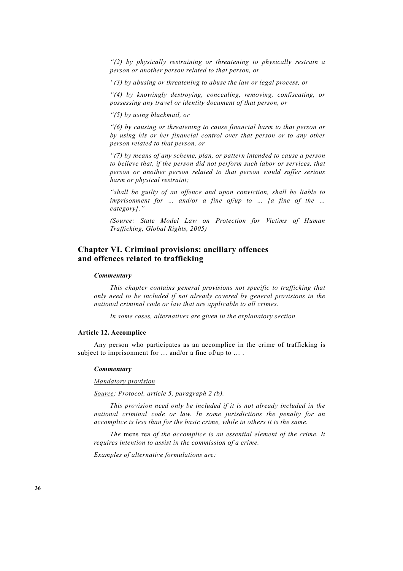*"(2) by physically restraining or threatening to physically restrain a person or another person related to that person, or* 

 *"(3) by abusing or threatening to abuse the law or legal process, or* 

 *"(4) by knowingly destroying, concealing, removing, confiscating, or possessing any travel or identity document of that person, or* 

 *"(5) by using blackmail, or* 

 *"(6) by causing or threatening to cause financial harm to that person or by using his or her financial control over that person or to any other person related to that person, or* 

 *"(7) by means of any scheme, plan, or pattern intended to cause a person to believe that, if the person did not perform such labor or services, that person or another person related to that person would suffer serious harm or physical restraint;* 

 *"shall be guilty of an offence and upon conviction, shall be liable to imprisonment for … and/or a fine of/up to … [a fine of the … category]."* 

 *(Source: State Model Law on Protection for Victims of Human Trafficking, Global Rights, 2005)* 

# **Chapter VI. Criminal provisions: ancillary offences and offences related to trafficking**

#### *Commentary*

 *This chapter contains general provisions not specific to trafficking that only need to be included if not already covered by general provisions in the national criminal code or law that are applicable to all crimes.* 

 *In some cases, alternatives are given in the explanatory section.* 

#### **Article 12. Accomplice**

 Any person who participates as an accomplice in the crime of trafficking is subject to imprisonment for ... and/or a fine of/up to ....

# *Commentary*

 *Mandatory provision*

*Source: Protocol, article 5, paragraph 2 (b).* 

 *This provision need only be included if it is not already included in the national criminal code or law. In some jurisdictions the penalty for an accomplice is less than for the basic crime, while in others it is the same.* 

 *The* mens rea *of the accomplice is an essential element of the crime. It requires intention to assist in the commission of a crime.* 

 *Examples of alternative formulations are:*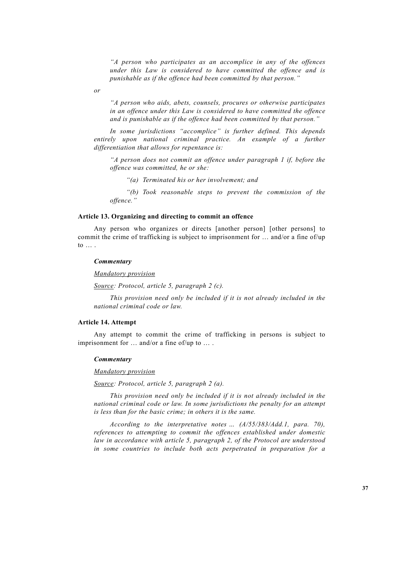*"A person who participates as an accomplice in any of the offences under this Law is considered to have committed the offence and is punishable as if the offence had been committed by that person."* 

 *or* 

 *"A person who aids, abets, counsels, procures or otherwise participates in an offence under this Law is considered to have committed the offence and is punishable as if the offence had been committed by that person."* 

 *In some jurisdictions "accomplice" is further defined. This depends*  entirely upon national criminal practice. An example of a further *differentiation that allows for repentance is:* 

 *"A person does not commit an offence under paragraph 1 if, before the offence was committed, he or she:* 

 *"(a) Terminated his or her involvement; and* 

 *"(b) Took reasonable steps to prevent the commission of the offence."* 

### **Article 13. Organizing and directing to commit an offence**

 Any person who organizes or directs [another person] [other persons] to commit the crime of trafficking is subject to imprisonment for … and/or a fine of/up to … .

#### *Commentary*

 *Mandatory provision*

 *Source: Protocol, article 5, paragraph 2 (c).* 

 *This provision need only be included if it is not already included in the national criminal code or law.* 

# **Article 14. Attempt**

 Any attempt to commit the crime of trafficking in persons is subject to imprisonment for … and/or a fine of/up to … .

#### *Commentary*

### *Mandatory provision*

 *Source: Protocol, article 5, paragraph 2 (a).* 

 *This provision need only be included if it is not already included in the national criminal code or law. In some jurisdictions the penalty for an attempt is less than for the basic crime; in others it is the same.*

 *According to the interpretative notes … (A/55/383/Add.1, para. 70), references to attempting to commit the offences established under domestic law in accordance with article 5, paragraph 2, of the Protocol are understood in some countries to include both acts perpetrated in preparation for a*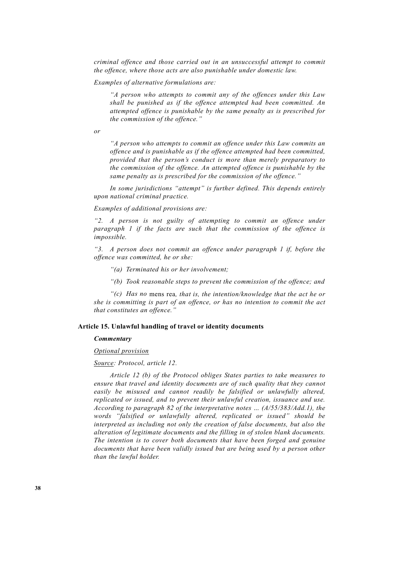*criminal offence and those carried out in an unsuccessful attempt to commit the offence, where those acts are also punishable under domestic law.* 

 *Examples of alternative formulations are:* 

 *"A person who attempts to commit any of the offences under this Law shall be punished as if the offence attempted had been committed. An attempted offence is punishable by the same penalty as is prescribed for the commission of the offence."* 

 *or* 

 *"A person who attempts to commit an offence under this Law commits an offence and is punishable as if the offence attempted had been committed, provided that the person's conduct is more than merely preparatory to the commission of the offence. An attempted offence is punishable by the same penalty as is prescribed for the commission of the offence."* 

 *In some jurisdictions "attempt" is further defined. This depends entirely upon national criminal practice.* 

 *Examples of additional provisions are:* 

 *"2. A person is not guilty of attempting to commit an offence under paragraph 1 if the facts are such that the commission of the offence is impossible.* 

 *"3. A person does not commit an offence under paragraph 1 if, before the offence was committed, he or she:* 

- *"(a) Terminated his or her involvement;*
- *"(b) Took reasonable steps to prevent the commission of the offence; and*

 *"(c) Has no* mens rea*, that is, the intention/knowledge that the act he or she is committing is part of an offence, or has no intention to commit the act that constitutes an offence."* 

# **Article 15. Unlawful handling of travel or identity documents**

#### *Commentary*

### *Optional provision*

#### *Source: Protocol, article 12.*

 *Article 12 (b) of the Protocol obliges States parties to take measures to ensure that travel and identity documents are of such quality that they cannot easily be misused and cannot readily be falsified or unlawfully altered, replicated or issued, and to prevent their unlawful creation, issuance and use. According to paragraph 82 of the interpretative notes … (A/55/383/Add.1), the words "falsified or unlawfully altered, replicated or issued" should be interpreted as including not only the creation of false documents, but also the alteration of legitimate documents and the filling in of stolen blank documents. The intention is to cover both documents that have been forged and genuine documents that have been validly issued but are being used by a person other than the lawful holder.*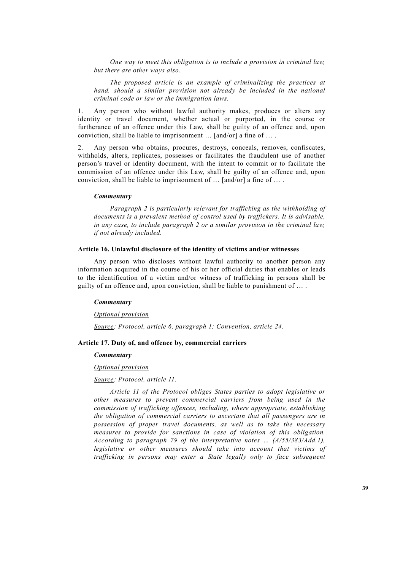*One way to meet this obligation is to include a provision in criminal law, but there are other ways also.* 

 *The proposed article is an example of criminalizing the practices at hand, should a similar provision not already be included in the national criminal code or law or the immigration laws.* 

1. Any person who without lawful authority makes, produces or alters any identity or travel document, whether actual or purported, in the course or furtherance of an offence under this Law, shall be guilty of an offence and, upon conviction, shall be liable to imprisonment … [and/or] a fine of … .

2. Any person who obtains, procures, destroys, conceals, removes, confiscates, withholds, alters, replicates, possesses or facilitates the fraudulent use of another person's travel or identity document, with the intent to commit or to facilitate the commission of an offence under this Law, shall be guilty of an offence and, upon conviction, shall be liable to imprisonment of … [and/or] a fine of … .

# *Commentary*

 *Paragraph 2 is particularly relevant for trafficking as the withholding of documents is a prevalent method of control used by traffickers. It is advisable, in any case, to include paragraph 2 or a similar provision in the criminal law, if not already included.* 

# **Article 16. Unlawful disclosure of the identity of victims and/or witnesses**

 Any person who discloses without lawful authority to another person any information acquired in the course of his or her official duties that enables or leads to the identification of a victim and/or witness of trafficking in persons shall be guilty of an offence and, upon conviction, shall be liable to punishment of … .

#### *Commentary*

#### *Optional provision*

 *Source: Protocol, article 6, paragraph 1; Convention, article 24.* 

### **Article 17. Duty of, and offence by, commercial carriers**

#### *Commentary*

#### *Optional provision*

### *Source: Protocol, article 11.*

 *Article 11 of the Protocol obliges States parties to adopt legislative or other measures to prevent commercial carriers from being used in the commission of trafficking offences, including, where appropriate, establishing the obligation of commercial carriers to ascertain that all passengers are in possession of proper travel documents, as well as to take the necessary measures to provide for sanctions in case of violation of this obligation. According to paragraph 79 of the interpretative notes … (A/55/383/Add.1), legislative or other measures should take into account that victims of trafficking in persons may enter a State legally only to face subsequent*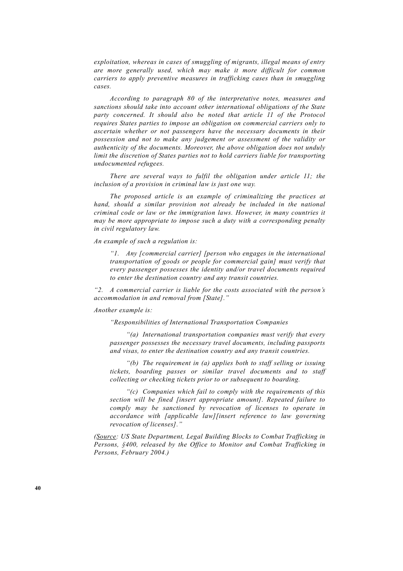*exploitation, whereas in cases of smuggling of migrants, illegal means of entry are more generally used, which may make it more difficult for common carriers to apply preventive measures in trafficking cases than in smuggling cases.* 

 *According to paragraph 80 of the interpretative notes, measures and sanctions should take into account other international obligations of the State party concerned. It should also be noted that article 11 of the Protocol requires States parties to impose an obligation on commercial carriers only to ascertain whether or not passengers have the necessary documents in their possession and not to make any judgement or assessment of the validity or authenticity of the documents. Moreover, the above obligation does not unduly limit the discretion of States parties not to hold carriers liable for transporting undocumented refugees.* 

 *There are several ways to fulfil the obligation under article 11; the inclusion of a provision in criminal law is just one way.* 

 *The proposed article is an example of criminalizing the practices at hand, should a similar provision not already be included in the national criminal code or law or the immigration laws. However, in many countries it may be more appropriate to impose such a duty with a corresponding penalty in civil regulatory law.* 

 *An example of such a regulation is:* 

 *"1. Any [commercial carrier] [person who engages in the international transportation of goods or people for commercial gain] must verify that every passenger possesses the identity and/or travel documents required to enter the destination country and any transit countries.* 

 *"2. A commercial carrier is liable for the costs associated with the person's accommodation in and removal from [State]."* 

### *Another example is:*

 *"Responsibilities of International Transportation Companies* 

 *"(a) International transportation companies must verify that every passenger possesses the necessary travel documents, including passports and visas, to enter the destination country and any transit countries.* 

 *"(b) The requirement in (a) applies both to staff selling or issuing tickets, boarding passes or similar travel documents and to staff collecting or checking tickets prior to or subsequent to boarding.* 

 *"(c) Companies which fail to comply with the requirements of this section will be fined [insert appropriate amount]. Repeated failure to comply may be sanctioned by revocation of licenses to operate in accordance with [applicable law][insert reference to law governing revocation of licenses]."* 

 *(Source: US State Department, Legal Building Blocks to Combat Trafficking in Persons, §400, released by the Office to Monitor and Combat Trafficking in Persons, February 2004.)*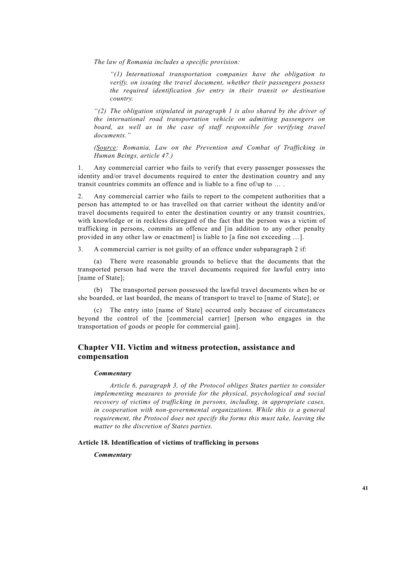*The law of Romania includes a specific provision:* 

 *"(1) International transportation companies have the obligation to verify, on issuing the travel document, whether their passengers possess the required identification for entry in their transit or destination country.* 

 *"(2) The obligation stipulated in paragraph 1 is also shared by the driver of the international road transportation vehicle on admitting passengers on*  board, as well as in the case of staff responsible for verifying travel *documents."* 

 *(Source: Romania, Law on the Prevention and Combat of Trafficking in Human Beings, article 47.)* 

1. Any commercial carrier who fails to verify that every passenger possesses the identity and/or travel documents required to enter the destination country and any transit countries commits an offence and is liable to a fine of/up to … .

Any commercial carrier who fails to report to the competent authorities that a person has attempted to or has travelled on that carrier without the identity and/or travel documents required to enter the destination country or any transit countries, with knowledge or in reckless disregard of the fact that the person was a victim of trafficking in persons, commits an offence and [in addition to any other penalty provided in any other law or enactment] is liable to [a fine not exceeding …].

3. A commercial carrier is not guilty of an offence under subparagraph 2 if:

 (a) There were reasonable grounds to believe that the documents that the transported person had were the travel documents required for lawful entry into [name of State];

 (b) The transported person possessed the lawful travel documents when he or she boarded, or last boarded, the means of transport to travel to [name of State]; or

 (c) The entry into [name of State] occurred only because of circumstances beyond the control of the [commercial carrier] [person who engages in the transportation of goods or people for commercial gain].

# **Chapter VII. Victim and witness protection, assistance and compensation**

# *Commentary*

 *Article 6, paragraph 3, of the Protocol obliges States parties to consider implementing measures to provide for the physical, psychological and social recovery of victims of trafficking in persons, including, in appropriate cases, in cooperation with non-governmental organizations. While this is a general requirement, the Protocol does not specify the forms this must take, leaving the matter to the discretion of States parties.* 

# **Article 18. Identification of victims of trafficking in persons**

*Commentary*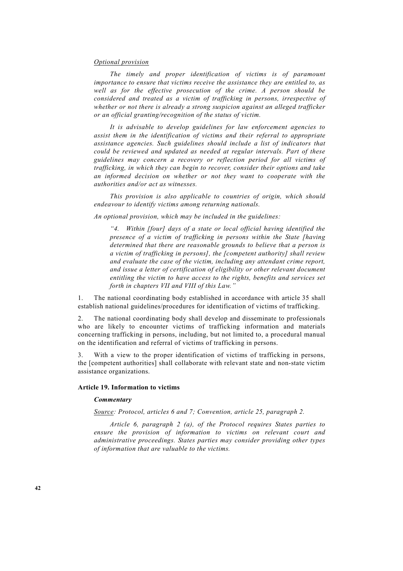### *Optional provision*

 *The timely and proper identification of victims is of paramount importance to ensure that victims receive the assistance they are entitled to, as well as for the effective prosecution of the crime. A person should be considered and treated as a victim of trafficking in persons, irrespective of whether or not there is already a strong suspicion against an alleged trafficker or an official granting/recognition of the status of victim.* 

 *It is advisable to develop guidelines for law enforcement agencies to assist them in the identification of victims and their referral to appropriate assistance agencies. Such guidelines should include a list of indicators that could be reviewed and updated as needed at regular intervals. Part of these guidelines may concern a recovery or reflection period for all victims of trafficking, in which they can begin to recover, consider their options and take an informed decision on whether or not they want to cooperate with the authorities and/or act as witnesses.* 

 *This provision is also applicable to countries of origin, which should endeavour to identify victims among returning nationals.* 

 *An optional provision, which may be included in the guidelines:* 

 *"4. Within [four] days of a state or local official having identified the presence of a victim of trafficking in persons within the State [having determined that there are reasonable grounds to believe that a person is a victim of trafficking in persons], the [competent authority] shall review and evaluate the case of the victim, including any attendant crime report, and issue a letter of certification of eligibility or other relevant document entitling the victim to have access to the rights, benefits and services set forth in chapters VII and VIII of this Law."* 

1. The national coordinating body established in accordance with article 35 shall establish national guidelines/procedures for identification of victims of trafficking.

2. The national coordinating body shall develop and disseminate to professionals who are likely to encounter victims of trafficking information and materials concerning trafficking in persons, including, but not limited to, a procedural manual on the identification and referral of victims of trafficking in persons.

3. With a view to the proper identification of victims of trafficking in persons, the [competent authorities] shall collaborate with relevant state and non-state victim assistance organizations.

### **Article 19. Information to victims**

### *Commentary*

 *Source: Protocol, articles 6 and 7; Convention, article 25, paragraph 2.* 

 *Article 6, paragraph 2 (a), of the Protocol requires States parties to ensure the provision of information to victims on relevant court and administrative proceedings. States parties may consider providing other types of information that are valuable to the victims.*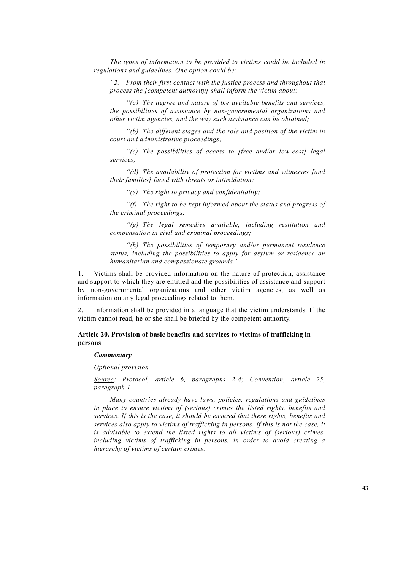*The types of information to be provided to victims could be included in regulations and guidelines. One option could be:* 

 *"2. From their first contact with the justice process and throughout that process the [competent authority] shall inform the victim about:* 

 *"(a) The degree and nature of the available benefits and services, the possibilities of assistance by non-governmental organizations and other victim agencies, and the way such assistance can be obtained;* 

 *"(b) The different stages and the role and position of the victim in court and administrative proceedings;* 

 *"(c) The possibilities of access to [free and/or low-cost] legal services;* 

 *"(d) The availability of protection for victims and witnesses [and their families] faced with threats or intimidation;* 

 *"(e) The right to privacy and confidentiality;* 

 *"(f) The right to be kept informed about the status and progress of the criminal proceedings;* 

 *"(g) The legal remedies available, including restitution and compensation in civil and criminal proceedings;* 

 *"(h) The possibilities of temporary and/or permanent residence status, including the possibilities to apply for asylum or residence on humanitarian and compassionate grounds."* 

1. Victims shall be provided information on the nature of protection, assistance and support to which they are entitled and the possibilities of assistance and support by non-governmental organizations and other victim agencies, as well as information on any legal proceedings related to them.

2. Information shall be provided in a language that the victim understands. If the victim cannot read, he or she shall be briefed by the competent authority.

# **Article 20. Provision of basic benefits and services to victims of trafficking in persons**

# *Commentary*

# *Optional provision*

 *Source: Protocol, article 6, paragraphs 2-4; Convention, article 25, paragraph 1.* 

 *Many countries already have laws, policies, regulations and guidelines in place to ensure victims of (serious) crimes the listed rights, benefits and services. If this is the case, it should be ensured that these rights, benefits and services also apply to victims of trafficking in persons. If this is not the case, it is advisable to extend the listed rights to all victims of (serious) crimes, including victims of trafficking in persons, in order to avoid creating a hierarchy of victims of certain crimes.*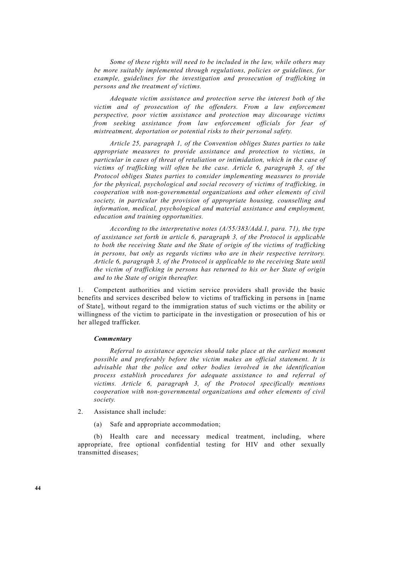*Some of these rights will need to be included in the law, while others may be more suitably implemented through regulations, policies or guidelines, for example, guidelines for the investigation and prosecution of trafficking in persons and the treatment of victims.* 

 *Adequate victim assistance and protection serve the interest both of the victim and of prosecution of the offenders. From a law enforcement perspective, poor victim assistance and protection may discourage victims from seeking assistance from law enforcement officials for fear of mistreatment, deportation or potential risks to their personal safety.* 

 *Article 25, paragraph 1, of the Convention obliges States parties to take appropriate measures to provide assistance and protection to victims, in particular in cases of threat of retaliation or intimidation, which in the case of victims of trafficking will often be the case. Article 6, paragraph 3, of the Protocol obliges States parties to consider implementing measures to provide for the physical, psychological and social recovery of victims of trafficking, in cooperation with non-governmental organizations and other elements of civil society, in particular the provision of appropriate housing, counselling and information, medical, psychological and material assistance and employment, education and training opportunities.* 

 *According to the interpretative notes (A/55/383/Add.1, para. 71), the type of assistance set forth in article 6, paragraph 3, of the Protocol is applicable to both the receiving State and the State of origin of the victims of trafficking in persons, but only as regards victims who are in their respective territory. Article 6, paragraph 3, of the Protocol is applicable to the receiving State until the victim of trafficking in persons has returned to his or her State of origin and to the State of origin thereafter.* 

1. Competent authorities and victim service providers shall provide the basic benefits and services described below to victims of trafficking in persons in [name of State], without regard to the immigration status of such victims or the ability or willingness of the victim to participate in the investigation or prosecution of his or her alleged trafficker.

### *Commentary*

 *Referral to assistance agencies should take place at the earliest moment possible and preferably before the victim makes an official statement. It is advisable that the police and other bodies involved in the identification process establish procedures for adequate assistance to and referral of victims. Article 6, paragraph 3, of the Protocol specifically mentions cooperation with non-governmental organizations and other elements of civil society.* 

- 2. Assistance shall include:
	- (a) Safe and appropriate accommodation;

 (b) Health care and necessary medical treatment, including, where appropriate, free optional confidential testing for HIV and other sexually transmitted diseases;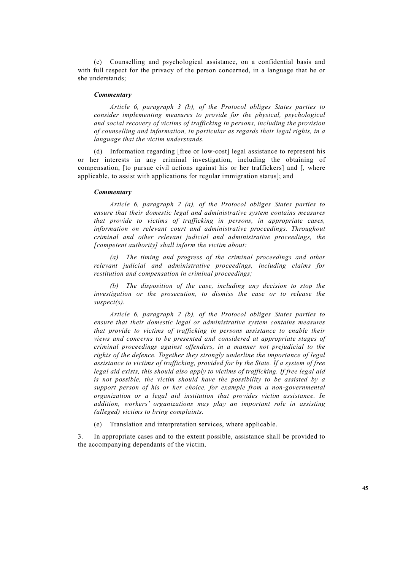(c) Counselling and psychological assistance, on a confidential basis and with full respect for the privacy of the person concerned, in a language that he or she understands;

### *Commentary*

 *Article 6, paragraph 3 (b), of the Protocol obliges States parties to consider implementing measures to provide for the physical, psychological and social recovery of victims of trafficking in persons, including the provision of counselling and information, in particular as regards their legal rights, in a language that the victim understands.* 

 (d) Information regarding [free or low-cost] legal assistance to represent his or her interests in any criminal investigation, including the obtaining of compensation, [to pursue civil actions against his or her traffickers] and [, where applicable, to assist with applications for regular immigration status]; and

#### *Commentary*

 *Article 6, paragraph 2 (a), of the Protocol obliges States parties to ensure that their domestic legal and administrative system contains measures that provide to victims of trafficking in persons, in appropriate cases, information on relevant court and administrative proceedings. Throughout criminal and other relevant judicial and administrative proceedings, the [competent authority] shall inform the victim about:* 

 *(a) The timing and progress of the criminal proceedings and other relevant judicial and administrative proceedings, including claims for restitution and compensation in criminal proceedings;* 

 *(b) The disposition of the case, including any decision to stop the investigation or the prosecution, to dismiss the case or to release the suspect(s).* 

 *Article 6, paragraph 2 (b), of the Protocol obliges States parties to ensure that their domestic legal or administrative system contains measures that provide to victims of trafficking in persons assistance to enable their views and concerns to be presented and considered at appropriate stages of criminal proceedings against offenders, in a manner not prejudicial to the rights of the defence. Together they strongly underline the importance of legal assistance to victims of trafficking, provided for by the State. If a system of free legal aid exists, this should also apply to victims of trafficking. If free legal aid is not possible, the victim should have the possibility to be assisted by a support person of his or her choice, for example from a non-governmental organization or a legal aid institution that provides victim assistance. In addition, workers' organizations may play an important role in assisting (alleged) victims to bring complaints.* 

(e) Translation and interpretation services, where applicable.

3. In appropriate cases and to the extent possible, assistance shall be provided to the accompanying dependants of the victim.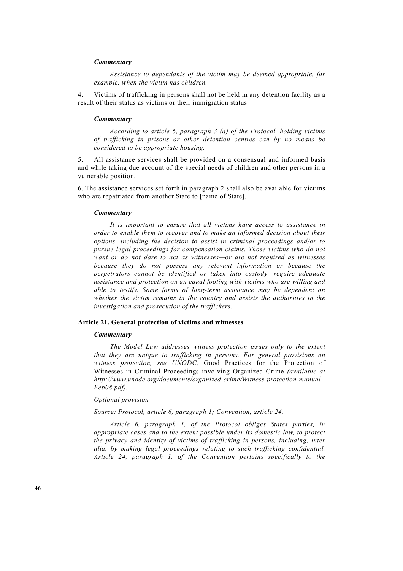# *Commentary*

 *Assistance to dependants of the victim may be deemed appropriate, for example, when the victim has children.* 

4. Victims of trafficking in persons shall not be held in any detention facility as a result of their status as victims or their immigration status.

### *Commentary*

 *According to article 6, paragraph 3 (a) of the Protocol, holding victims of trafficking in prisons or other detention centres can by no means be considered to be appropriate housing.* 

5. All assistance services shall be provided on a consensual and informed basis and while taking due account of the special needs of children and other persons in a vulnerable position.

6. The assistance services set forth in paragraph 2 shall also be available for victims who are repatriated from another State to [name of State].

### *Commentary*

 *It is important to ensure that all victims have access to assistance in order to enable them to recover and to make an informed decision about their options, including the decision to assist in criminal proceedings and/or to pursue legal proceedings for compensation claims. Those victims who do not want or do not dare to act as witnesses—or are not required as witnesses because they do not possess any relevant information or because the perpetrators cannot be identified or taken into custody—require adequate assistance and protection on an equal footing with victims who are willing and able to testify. Some forms of long-term assistance may be dependent on whether the victim remains in the country and assists the authorities in the investigation and prosecution of the traffickers.* 

# **Article 21. General protection of victims and witnesses**

#### *Commentary*

 *The Model Law addresses witness protection issues only to the extent that they are unique to trafficking in persons. For general provisions on witness protection, see UNODC,* Good Practices for the Protection of Witnesses in Criminal Proceedings involving Organized Crime *(available at http://www.unodc.org/documents/organized-crime/Witness-protection-manual-Feb08.pdf).* 

# *Optional provision*

 *Source: Protocol, article 6, paragraph 1; Convention, article 24.* 

 *Article 6, paragraph 1, of the Protocol obliges States parties, in appropriate cases and to the extent possible under its domestic law, to protect the privacy and identity of victims of trafficking in persons, including, inter alia, by making legal proceedings relating to such trafficking confidential. Article 24, paragraph 1, of the Convention pertains specifically to the*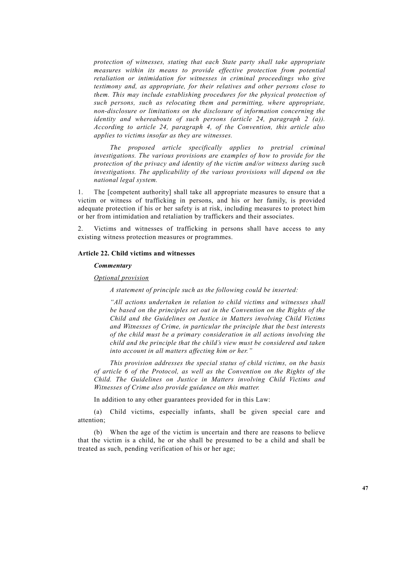*protection of witnesses, stating that each State party shall take appropriate measures within its means to provide effective protection from potential retaliation or intimidation for witnesses in criminal proceedings who give testimony and, as appropriate, for their relatives and other persons close to them. This may include establishing procedures for the physical protection of such persons, such as relocating them and permitting, where appropriate, non-disclosure or limitations on the disclosure of information concerning the identity and whereabouts of such persons (article 24, paragraph 2 (a)). According to article 24, paragraph 4, of the Convention, this article also applies to victims insofar as they are witnesses.* 

 *The proposed article specifically applies to pretrial criminal investigations. The various provisions are examples of how to provide for the protection of the privacy and identity of the victim and/or witness during such investigations. The applicability of the various provisions will depend on the national legal system.* 

1. The [competent authority] shall take all appropriate measures to ensure that a victim or witness of trafficking in persons, and his or her family, is provided adequate protection if his or her safety is at risk, including measures to protect him or her from intimidation and retaliation by traffickers and their associates.

2. Victims and witnesses of trafficking in persons shall have access to any existing witness protection measures or programmes.

# **Article 22. Child victims and witnesses**

### *Commentary*

# *Optional provision*

 *A statement of principle such as the following could be inserted:* 

 *"All actions undertaken in relation to child victims and witnesses shall be based on the principles set out in the Convention on the Rights of the Child and the Guidelines on Justice in Matters involving Child Victims and Witnesses of Crime, in particular the principle that the best interests of the child must be a primary consideration in all actions involving the child and the principle that the child's view must be considered and taken into account in all matters affecting him or her."* 

 *This provision addresses the special status of child victims, on the basis of article 6 of the Protocol, as well as the Convention on the Rights of the Child. The Guidelines on Justice in Matters involving Child Victims and Witnesses of Crime also provide guidance on this matter.* 

In addition to any other guarantees provided for in this Law:

 (a) Child victims, especially infants, shall be given special care and attention;

 (b) When the age of the victim is uncertain and there are reasons to believe that the victim is a child, he or she shall be presumed to be a child and shall be treated as such, pending verification of his or her age;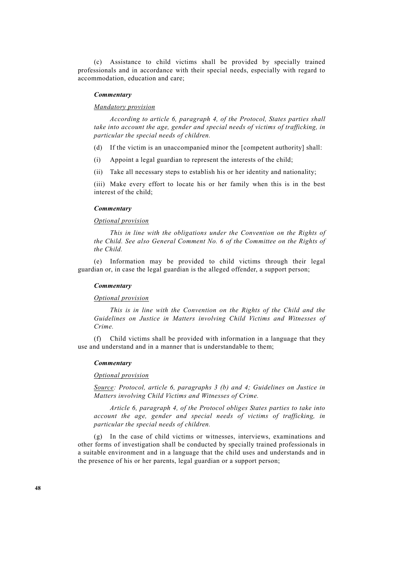(c) Assistance to child victims shall be provided by specially trained professionals and in accordance with their special needs, especially with regard to accommodation, education and care;

### *Commentary*

# *Mandatory provision*

 *According to article 6, paragraph 4, of the Protocol, States parties shall take into account the age, gender and special needs of victims of trafficking, in particular the special needs of children.* 

(d) If the victim is an unaccompanied minor the [competent authority] shall:

(i) Appoint a legal guardian to represent the interests of the child;

(ii) Take all necessary steps to establish his or her identity and nationality;

 (iii) Make every effort to locate his or her family when this is in the best interest of the child;

# *Commentary*

# *Optional provision*

 *This in line with the obligations under the Convention on the Rights of the Child. See also General Comment No. 6 of the Committee on the Rights of the Child.* 

 (e) Information may be provided to child victims through their legal guardian or, in case the legal guardian is the alleged offender, a support person;

# *Commentary*

#### *Optional provision*

 *This is in line with the Convention on the Rights of the Child and the Guidelines on Justice in Matters involving Child Victims and Witnesses of Crime.* 

 (f) Child victims shall be provided with information in a language that they use and understand and in a manner that is understandable to them:

### *Commentary*

# *Optional provision*

 *Source: Protocol, article 6, paragraphs 3 (b) and 4; Guidelines on Justice in Matters involving Child Victims and Witnesses of Crime.* 

 *Article 6, paragraph 4, of the Protocol obliges States parties to take into account the age, gender and special needs of victims of trafficking, in particular the special needs of children.* 

 (g) In the case of child victims or witnesses, interviews, examinations and other forms of investigation shall be conducted by specially trained professionals in a suitable environment and in a language that the child uses and understands and in the presence of his or her parents, legal guardian or a support person;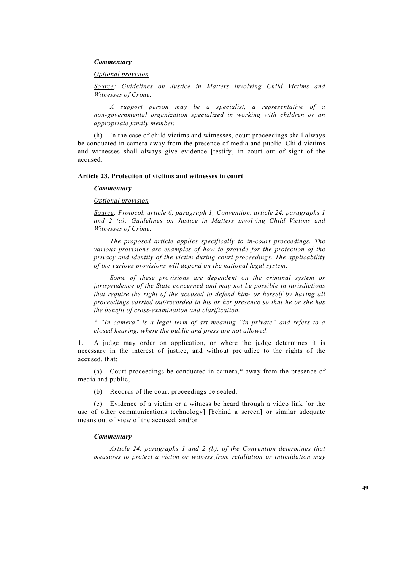# *Commentary*

 *Optional provision*

 *Source: Guidelines on Justice in Matters involving Child Victims and Witnesses of Crime.* 

 *A support person may be a specialist, a representative of a non-governmental organization specialized in working with children or an appropriate family member.*

In the case of child victims and witnesses, court proceedings shall always be conducted in camera away from the presence of media and public. Child victims and witnesses shall always give evidence [testify] in court out of sight of the accused.

# **Article 23. Protection of victims and witnesses in court**

#### *Commentary*

 *Optional provision*

 *Source: Protocol, article 6, paragraph 1; Convention, article 24, paragraphs 1 and 2 (a); Guidelines on Justice in Matters involving Child Victims and Witnesses of Crime.* 

 *The proposed article applies specifically to in-court proceedings. The various provisions are examples of how to provide for the protection of the privacy and identity of the victim during court proceedings. The applicability of the various provisions will depend on the national legal system.*

 *Some of these provisions are dependent on the criminal system or jurisprudence of the State concerned and may not be possible in jurisdictions that require the right of the accused to defend him- or herself by having all proceedings carried out/recorded in his or her presence so that he or she has the benefit of cross-examination and clarification.* 

 *\* "In camera" is a legal term of art meaning "in private" and refers to a closed hearing, where the public and press are not allowed.* 

1. A judge may order on application, or where the judge determines it is necessary in the interest of justice, and without prejudice to the rights of the accused, that:

 (a) Court proceedings be conducted in camera,\* away from the presence of media and public;

(b) Records of the court proceedings be sealed;

 (c) Evidence of a victim or a witness be heard through a video link [or the use of other communications technology] [behind a screen] or similar adequate means out of view of the accused; and/or

#### *Commentary*

 *Article 24, paragraphs 1 and 2 (b), of the Convention determines that measures to protect a victim or witness from retaliation or intimidation may*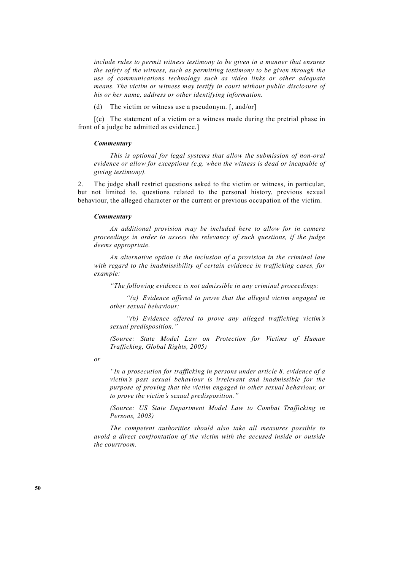*include rules to permit witness testimony to be given in a manner that ensures the safety of the witness, such as permitting testimony to be given through the use of communications technology such as video links or other adequate means. The victim or witness may testify in court without public disclosure of his or her name, address or other identifying information.* 

(d) The victim or witness use a pseudonym. [, and/or]

 [(e) The statement of a victim or a witness made during the pretrial phase in front of a judge be admitted as evidence.]

# *Commentary*

 *This is optional for legal systems that allow the submission of non-oral evidence or allow for exceptions (e.g. when the witness is dead or incapable of giving testimony).* 

2. The judge shall restrict questions asked to the victim or witness, in particular, but not limited to, questions related to the personal history, previous sexual behaviour, the alleged character or the current or previous occupation of the victim.

#### *Commentary*

 *An additional provision may be included here to allow for in camera proceedings in order to assess the relevancy of such questions, if the judge deems appropriate.* 

 *An alternative option is the inclusion of a provision in the criminal law with regard to the inadmissibility of certain evidence in trafficking cases, for example:* 

 *"The following evidence is not admissible in any criminal proceedings:* 

 *"(a) Evidence offered to prove that the alleged victim engaged in other sexual behaviour;* 

 *"(b) Evidence offered to prove any alleged trafficking victim's sexual predisposition."* 

 *(Source: State Model Law on Protection for Victims of Human Trafficking, Global Rights, 2005)* 

 *or* 

 *"In a prosecution for trafficking in persons under article 8, evidence of a victim's past sexual behaviour is irrelevant and inadmissible for the purpose of proving that the victim engaged in other sexual behaviour, or to prove the victim's sexual predisposition."* 

 *(Source: US State Department Model Law to Combat Trafficking in Persons, 2003)* 

 *The competent authorities should also take all measures possible to avoid a direct confrontation of the victim with the accused inside or outside the courtroom.*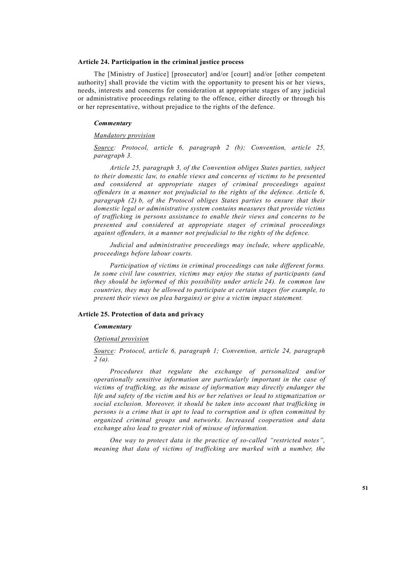### **Article 24. Participation in the criminal justice process**

 The [Ministry of Justice] [prosecutor] and/or [court] and/or [other competent authority] shall provide the victim with the opportunity to present his or her views, needs, interests and concerns for consideration at appropriate stages of any judicial or administrative proceedings relating to the offence, either directly or through his or her representative, without prejudice to the rights of the defence.

#### *Commentary*

# *Mandatory provision*

 *Source: Protocol, article 6, paragraph 2 (b); Convention, article 25, paragraph 3.* 

 *Article 25, paragraph 3, of the Convention obliges States parties, subject to their domestic law, to enable views and concerns of victims to be presented and considered at appropriate stages of criminal proceedings against offenders in a manner not prejudicial to the rights of the defence. Article 6, paragraph (2) b, of the Protocol obliges States parties to ensure that their domestic legal or administrative system contains measures that provide victims of trafficking in persons assistance to enable their views and concerns to be presented and considered at appropriate stages of criminal proceedings against offenders, in a manner not prejudicial to the rights of the defence.* 

 *Judicial and administrative proceedings may include, where applicable, proceedings before labour courts.* 

 *Participation of victims in criminal proceedings can take different forms. In some civil law countries, victims may enjoy the status of participants (and they should be informed of this possibility under article 24). In common law countries, they may be allowed to participate at certain stages (for example, to present their views on plea bargains) or give a victim impact statement.*

### **Article 25. Protection of data and privacy**

# *Commentary*

### *Optional provision*

 *Source: Protocol, article 6, paragraph 1; Convention, article 24, paragraph 2 (a).* 

 *Procedures that regulate the exchange of personalized and/or operationally sensitive information are particularly important in the case of victims of trafficking, as the misuse of information may directly endanger the life and safety of the victim and his or her relatives or lead to stigmatization or social exclusion. Moreover, it should be taken into account that trafficking in persons is a crime that is apt to lead to corruption and is often committed by organized criminal groups and networks. Increased cooperation and data exchange also lead to greater risk of misuse of information.* 

 *One way to protect data is the practice of so-called "restricted notes", meaning that data of victims of trafficking are marked with a number, the*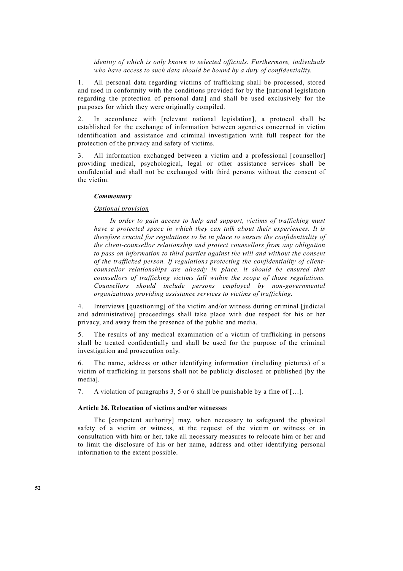# *identity of which is only known to selected officials. Furthermore, individuals who have access to such data should be bound by a duty of confidentiality.*

1. All personal data regarding victims of trafficking shall be processed, stored and used in conformity with the conditions provided for by the [national legislation regarding the protection of personal data] and shall be used exclusively for the purposes for which they were originally compiled.

2. In accordance with [relevant national legislation], a protocol shall be established for the exchange of information between agencies concerned in victim identification and assistance and criminal investigation with full respect for the protection of the privacy and safety of victims.

3. All information exchanged between a victim and a professional [counsellor] providing medical, psychological, legal or other assistance services shall be confidential and shall not be exchanged with third persons without the consent of the victim.

# *Commentary*

# *Optional provision*

 *In order to gain access to help and support, victims of trafficking must have a protected space in which they can talk about their experiences. It is therefore crucial for regulations to be in place to ensure the confidentiality of the client-counsellor relationship and protect counsellors from any obligation to pass on information to third parties against the will and without the consent of the trafficked person. If regulations protecting the confidentiality of clientcounsellor relationships are already in place, it should be ensured that counsellors of trafficking victims fall within the scope of those regulations. Counsellors should include persons employed by non-governmental organizations providing assistance services to victims of trafficking.* 

4. Interviews [questioning] of the victim and/or witness during criminal [judicial and administrative] proceedings shall take place with due respect for his or her privacy, and away from the presence of the public and media.

5. The results of any medical examination of a victim of trafficking in persons shall be treated confidentially and shall be used for the purpose of the criminal investigation and prosecution only.

The name, address or other identifying information (including pictures) of a victim of trafficking in persons shall not be publicly disclosed or published [by the media].

7. A violation of paragraphs 3, 5 or 6 shall be punishable by a fine of […].

# **Article 26. Relocation of victims and/or witnesses**

 The [competent authority] may, when necessary to safeguard the physical safety of a victim or witness, at the request of the victim or witness or in consultation with him or her, take all necessary measures to relocate him or her and to limit the disclosure of his or her name, address and other identifying personal information to the extent possible.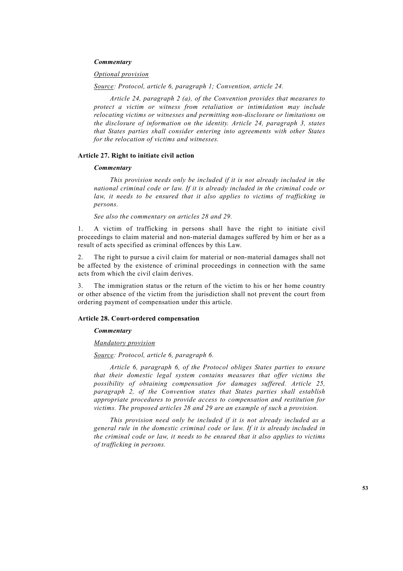# *Commentary*

### *Optional provision*

 *Source: Protocol, article 6, paragraph 1; Convention, article 24.* 

 *Article 24, paragraph 2 (a), of the Convention provides that measures to protect a victim or witness from retaliation or intimidation may include relocating victims or witnesses and permitting non-disclosure or limitations on the disclosure of information on the identity. Article 24, paragraph 3, states that States parties shall consider entering into agreements with other States for the relocation of victims and witnesses.*

### **Article 27. Right to initiate civil action**

### *Commentary*

 *This provision needs only be included if it is not already included in the national criminal code or law. If it is already included in the criminal code or*  law, it needs to be ensured that it also applies to victims of trafficking in *persons.* 

 *See also the commentary on articles 28 and 29.* 

1. A victim of trafficking in persons shall have the right to initiate civil proceedings to claim material and non-material damages suffered by him or her as a result of acts specified as criminal offences by this Law.

2. The right to pursue a civil claim for material or non-material damages shall not be affected by the existence of criminal proceedings in connection with the same acts from which the civil claim derives.

The immigration status or the return of the victim to his or her home country or other absence of the victim from the jurisdiction shall not prevent the court from ordering payment of compensation under this article.

# **Article 28. Court-ordered compensation**

### *Commentary*

# *Mandatory provision*

# *Source: Protocol, article 6, paragraph 6.*

 *Article 6, paragraph 6, of the Protocol obliges States parties to ensure that their domestic legal system contains measures that offer victims the possibility of obtaining compensation for damages suffered. Article 25, paragraph 2, of the Convention states that States parties shall establish appropriate procedures to provide access to compensation and restitution for victims. The proposed articles 28 and 29 are an example of such a provision.* 

 *This provision need only be included if it is not already included as a general rule in the domestic criminal code or law. If it is already included in the criminal code or law, it needs to be ensured that it also applies to victims of trafficking in persons.*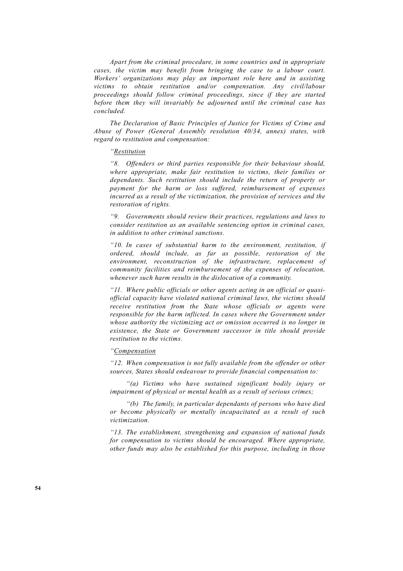*Apart from the criminal procedure, in some countries and in appropriate cases, the victim may benefit from bringing the case to a labour court. Workers' organizations may play an important role here and in assisting victims to obtain restitution and/or compensation. Any civil/labour proceedings should follow criminal proceedings, since if they are started before them they will invariably be adjourned until the criminal case has concluded.* 

 *The Declaration of Basic Principles of Justice for Victims of Crime and Abuse of Power (General Assembly resolution 40/34, annex) states, with regard to restitution and compensation:* 

# *"Restitution*

 *"8. Offenders or third parties responsible for their behaviour should, where appropriate, make fair restitution to victims, their families or dependants. Such restitution should include the return of property or payment for the harm or loss suffered, reimbursement of expenses incurred as a result of the victimization, the provision of services and the restoration of rights.* 

 *"9. Governments should review their practices, regulations and laws to consider restitution as an available sentencing option in criminal cases, in addition to other criminal sanctions.* 

 *"10. In cases of substantial harm to the environment, restitution, if ordered, should include, as far as possible, restoration of the environment, reconstruction of the infrastructure, replacement of community facilities and reimbursement of the expenses of relocation, whenever such harm results in the dislocation of a community.* 

 *"11. Where public officials or other agents acting in an official or quasiofficial capacity have violated national criminal laws, the victims should receive restitution from the State whose officials or agents were responsible for the harm inflicted. In cases where the Government under whose authority the victimizing act or omission occurred is no longer in existence, the State or Government successor in title should provide restitution to the victims.* 

# *"Compensation*

 *"12. When compensation is not fully available from the offender or other sources, States should endeavour to provide financial compensation to:* 

 *"(a) Victims who have sustained significant bodily injury or impairment of physical or mental health as a result of serious crimes;* 

 *"(b) The family, in particular dependants of persons who have died or become physically or mentally incapacitated as a result of such victimization.* 

 *"13. The establishment, strengthening and expansion of national funds for compensation to victims should be encouraged. Where appropriate, other funds may also be established for this purpose, including in those*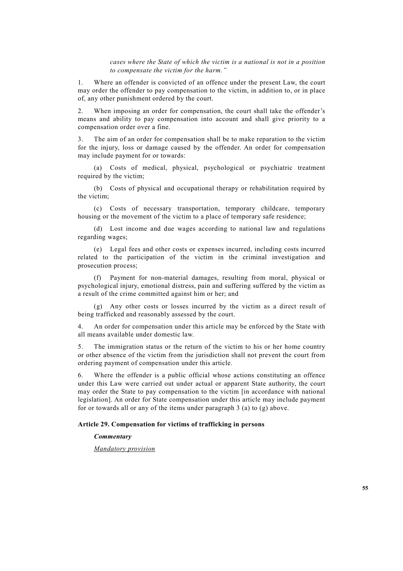*cases where the State of which the victim is a national is not in a position to compensate the victim for the harm."*

1. Where an offender is convicted of an offence under the present Law, the court may order the offender to pay compensation to the victim, in addition to, or in place of, any other punishment ordered by the court.

2. When imposing an order for compensation, the court shall take the offender's means and ability to pay compensation into account and shall give priority to a compensation order over a fine.

3. The aim of an order for compensation shall be to make reparation to the victim for the injury, loss or damage caused by the offender. An order for compensation may include payment for or towards:

 (a) Costs of medical, physical, psychological or psychiatric treatment required by the victim:

 (b) Costs of physical and occupational therapy or rehabilitation required by the victim;

 (c) Costs of necessary transportation, temporary childcare, temporary housing or the movement of the victim to a place of temporary safe residence;

 (d) Lost income and due wages according to national law and regulations regarding wages;

 (e) Legal fees and other costs or expenses incurred, including costs incurred related to the participation of the victim in the criminal investigation and prosecution process;

 (f) Payment for non-material damages, resulting from moral, physical or psychological injury, emotional distress, pain and suffering suffered by the victim as a result of the crime committed against him or her; and

Any other costs or losses incurred by the victim as a direct result of being trafficked and reasonably assessed by the court.

4. An order for compensation under this article may be enforced by the State with all means available under domestic law.

5. The immigration status or the return of the victim to his or her home country or other absence of the victim from the jurisdiction shall not prevent the court from ordering payment of compensation under this article.

6. Where the offender is a public official whose actions constituting an offence under this Law were carried out under actual or apparent State authority, the court may order the State to pay compensation to the victim [in accordance with national legislation]. An order for State compensation under this article may include payment for or towards all or any of the items under paragraph 3 (a) to (g) above.

# **Article 29. Compensation for victims of trafficking in persons**

### *Commentary*

 *Mandatory provision*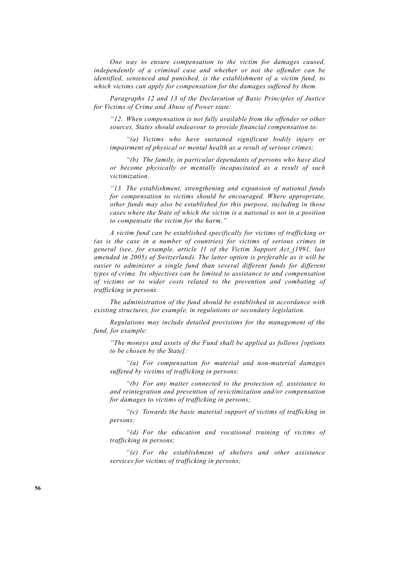*One way to ensure compensation to the victim for damages caused, independently of a criminal case and whether or not the offender can be identified, sentenced and punished, is the establishment of a victim fund, to which victims can apply for compensation for the damages suffered by them.* 

 *Paragraphs 12 and 13 of the Declaration of Basic Principles of Justice for Victims of Crime and Abuse of Power state:* 

 *"12. When compensation is not fully available from the offender or other sources, States should endeavour to provide financial compensation to:* 

 *"(a) Victims who have sustained significant bodily injury or impairment of physical or mental health as a result of serious crimes;* 

 *"(b) The family, in particular dependants of persons who have died or become physically or mentally incapacitated as a result of such victimization.* 

 *"13. The establishment, strengthening and expansion of national funds for compensation to victims should be encouraged. Where appropriate, other funds may also be established for this purpose, including in those cases where the State of which the victim is a national is not in a position to compensate the victim for the harm."* 

 *A victim fund can be established specifically for victims of trafficking or (as is the case in a number of countries) for victims of serious crimes in general (see, for example, article 11 of the Victim Support Act (1991, last amended in 2005) of Switzerland). The latter option is preferable as it will be*  easier to administer a single fund than several different funds for different *types of crime. Its objectives can be limited to assistance to and compensation of victims or to wider costs related to the prevention and combating of trafficking in persons.* 

 *The administration of the fund should be established in accordance with existing structures, for example, in regulations or secondary legislation.* 

 *Regulations may include detailed provisions for the management of the fund, for example:* 

 *"The moneys and assets of the Fund shall be applied as follows [options to be chosen by the State]:* 

 *"(a) For compensation for material and non-material damages suffered by victims of trafficking in persons;* 

 *"(b) For any matter connected to the protection of, assistance to and reintegration and prevention of revictimization and/or compensation for damages to victims of trafficking in persons;* 

 *"(c) Towards the basic material support of victims of trafficking in persons;* 

 *"(d) For the education and vocational training of victims of trafficking in persons;* 

 *"(e) For the establishment of shelters and other assistance services for victims of trafficking in persons;*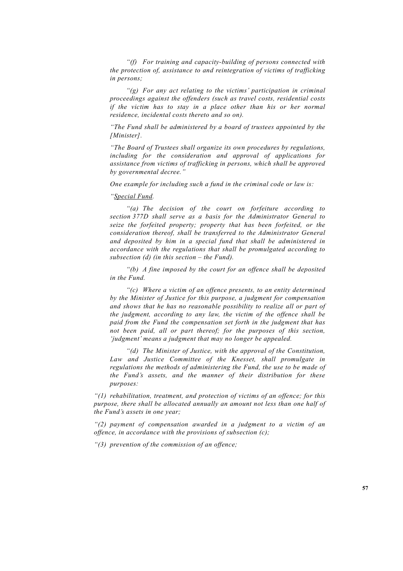*"(f) For training and capacity-building of persons connected with the protection of, assistance to and reintegration of victims of trafficking in persons;* 

 *"(g) For any act relating to the victims' participation in criminal proceedings against the offenders (such as travel costs, residential costs if the victim has to stay in a place other than his or her normal residence, incidental costs thereto and so on).* 

 *"The Fund shall be administered by a board of trustees appointed by the [Minister].* 

 *"The Board of Trustees shall organize its own procedures by regulations, including for the consideration and approval of applications for assistance from victims of trafficking in persons, which shall be approved by governmental decree."* 

 *One example for including such a fund in the criminal code or law is:* 

 *"Special Fund.* 

 *"(a) The decision of the court on forfeiture according to section 377D shall serve as a basis for the Administrator General to seize the forfeited property; property that has been forfeited, or the consideration thereof, shall be transferred to the Administrator General and deposited by him in a special fund that shall be administered in accordance with the regulations that shall be promulgated according to subsection (d) (in this section – the Fund).* 

 *"(b) A fine imposed by the court for an offence shall be deposited in the Fund.* 

 *"(c) Where a victim of an offence presents, to an entity determined by the Minister of Justice for this purpose, a judgment for compensation and shows that he has no reasonable possibility to realize all or part of the judgment, according to any law, the victim of the offence shall be paid from the Fund the compensation set forth in the judgment that has not been paid, all or part thereof; for the purposes of this section, 'judgment' means a judgment that may no longer be appealed.* 

 *"(d) The Minister of Justice, with the approval of the Constitution, Law and Justice Committee of the Knesset, shall promulgate in regulations the methods of administering the Fund, the use to be made of the Fund's assets, and the manner of their distribution for these purposes:* 

 *"(1) rehabilitation, treatment, and protection of victims of an offence; for this purpose, there shall be allocated annually an amount not less than one half of the Fund's assets in one year;* 

 *"(2) payment of compensation awarded in a judgment to a victim of an offence, in accordance with the provisions of subsection (c);* 

 *"(3) prevention of the commission of an offence;*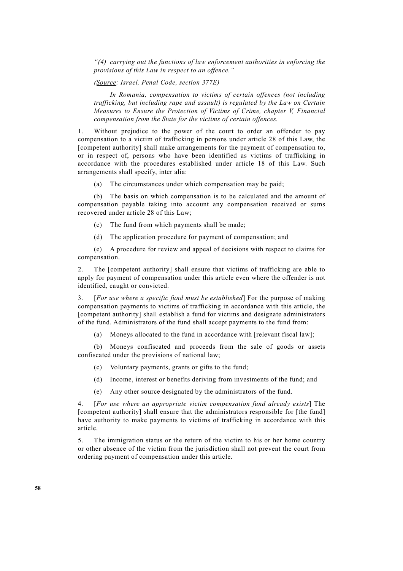*"(4) carrying out the functions of law enforcement authorities in enforcing the provisions of this Law in respect to an offence."* 

 *(Source: Israel, Penal Code, section 377E)* 

 *In Romania, compensation to victims of certain offences (not including trafficking, but including rape and assault) is regulated by the Law on Certain Measures to Ensure the Protection of Victims of Crime, chapter V, Financial compensation from the State for the victims of certain offences.* 

1. Without prejudice to the power of the court to order an offender to pay compensation to a victim of trafficking in persons under article 28 of this Law, the [competent authority] shall make arrangements for the payment of compensation to, or in respect of, persons who have been identified as victims of trafficking in accordance with the procedures established under article 18 of this Law. Such arrangements shall specify, inter alia:

(a) The circumstances under which compensation may be paid;

 (b) The basis on which compensation is to be calculated and the amount of compensation payable taking into account any compensation received or sums recovered under article 28 of this Law;

(c) The fund from which payments shall be made;

(d) The application procedure for payment of compensation; and

 (e) A procedure for review and appeal of decisions with respect to claims for compensation.

2. The [competent authority] shall ensure that victims of trafficking are able to apply for payment of compensation under this article even where the offender is not identified, caught or convicted.

3. [*For use where a specific fund must be established*] For the purpose of making compensation payments to victims of trafficking in accordance with this article, the [competent authority] shall establish a fund for victims and designate administrators of the fund. Administrators of the fund shall accept payments to the fund from:

(a) Moneys allocated to the fund in accordance with [relevant fiscal law];

 (b) Moneys confiscated and proceeds from the sale of goods or assets confiscated under the provisions of national law;

- (c) Voluntary payments, grants or gifts to the fund;
- (d) Income, interest or benefits deriving from investments of the fund; and
- (e) Any other source designated by the administrators of the fund.

4. [*For use where an appropriate victim compensation fund already exists*] The [competent authority] shall ensure that the administrators responsible for [the fund] have authority to make payments to victims of trafficking in accordance with this article.

5. The immigration status or the return of the victim to his or her home country or other absence of the victim from the jurisdiction shall not prevent the court from ordering payment of compensation under this article.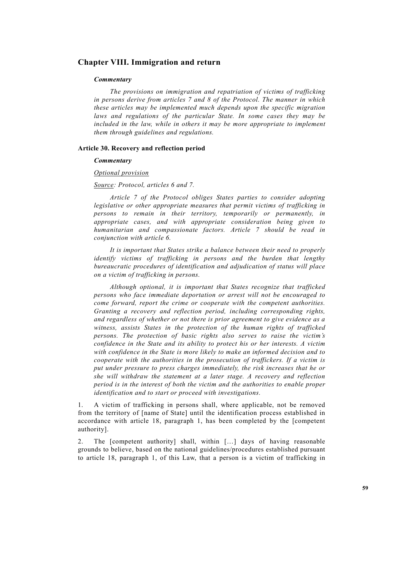# **Chapter VIII. Immigration and return**

### *Commentary*

 *The provisions on immigration and repatriation of victims of trafficking in persons derive from articles 7 and 8 of the Protocol. The manner in which these articles may be implemented much depends upon the specific migration laws and regulations of the particular State. In some cases they may be included in the law, while in others it may be more appropriate to implement them through guidelines and regulations.* 

#### **Article 30. Recovery and reflection period**

# *Commentary*

#### *Optional provision*

### *Source: Protocol, articles 6 and 7.*

 *Article 7 of the Protocol obliges States parties to consider adopting legislative or other appropriate measures that permit victims of trafficking in persons to remain in their territory, temporarily or permanently, in appropriate cases, and with appropriate consideration being given to humanitarian and compassionate factors. Article 7 should be read in conjunction with article 6.* 

 *It is important that States strike a balance between their need to properly identify victims of trafficking in persons and the burden that lengthy bureaucratic procedures of identification and adjudication of status will place on a victim of trafficking in persons.* 

 *Although optional, it is important that States recognize that trafficked persons who face immediate deportation or arrest will not be encouraged to come forward, report the crime or cooperate with the competent authorities. Granting a recovery and reflection period, including corresponding rights, and regardless of whether or not there is prior agreement to give evidence as a witness, assists States in the protection of the human rights of trafficked persons. The protection of basic rights also serves to raise the victim's confidence in the State and its ability to protect his or her interests. A victim with confidence in the State is more likely to make an informed decision and to cooperate with the authorities in the prosecution of traffickers. If a victim is put under pressure to press charges immediately, the risk increases that he or she will withdraw the statement at a later stage. A recovery and reflection period is in the interest of both the victim and the authorities to enable proper identification and to start or proceed with investigations.*

1. A victim of trafficking in persons shall, where applicable, not be removed from the territory of [name of State] until the identification process established in accordance with article 18, paragraph 1, has been completed by the [competent authority].

2. The [competent authority] shall, within […] days of having reasonable grounds to believe, based on the national guidelines/procedures established pursuant to article 18, paragraph 1, of this Law, that a person is a victim of trafficking in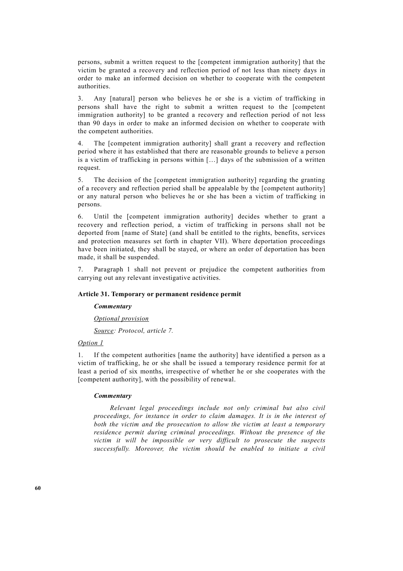persons, submit a written request to the [competent immigration authority] that the victim be granted a recovery and reflection period of not less than ninety days in order to make an informed decision on whether to cooperate with the competent authorities.

3. Any [natural] person who believes he or she is a victim of trafficking in persons shall have the right to submit a written request to the [competent immigration authority] to be granted a recovery and reflection period of not less than 90 days in order to make an informed decision on whether to cooperate with the competent authorities.

4. The [competent immigration authority] shall grant a recovery and reflection period where it has established that there are reasonable grounds to believe a person is a victim of trafficking in persons within […] days of the submission of a written request.

5. The decision of the [competent immigration authority] regarding the granting of a recovery and reflection period shall be appealable by the [competent authority] or any natural person who believes he or she has been a victim of trafficking in persons.

6. Until the [competent immigration authority] decides whether to grant a recovery and reflection period, a victim of trafficking in persons shall not be deported from [name of State] (and shall be entitled to the rights, benefits, services and protection measures set forth in chapter VII). Where deportation proceedings have been initiated, they shall be stayed, or where an order of deportation has been made, it shall be suspended.

7. Paragraph 1 shall not prevent or prejudice the competent authorities from carrying out any relevant investigative activities.

# **Article 31. Temporary or permanent residence permit**

*Commentary* 

 *Optional provision*

 *Source: Protocol, article 7.* 

# *Option 1*

1. If the competent authorities [name the authority] have identified a person as a victim of trafficking, he or she shall be issued a temporary residence permit for at least a period of six months, irrespective of whether he or she cooperates with the [competent authority], with the possibility of renewal.

### *Commentary*

 *Relevant legal proceedings include not only criminal but also civil proceedings, for instance in order to claim damages. It is in the interest of both the victim and the prosecution to allow the victim at least a temporary residence permit during criminal proceedings. Without the presence of the victim it will be impossible or very difficult to prosecute the suspects successfully. Moreover, the victim should be enabled to initiate a civil*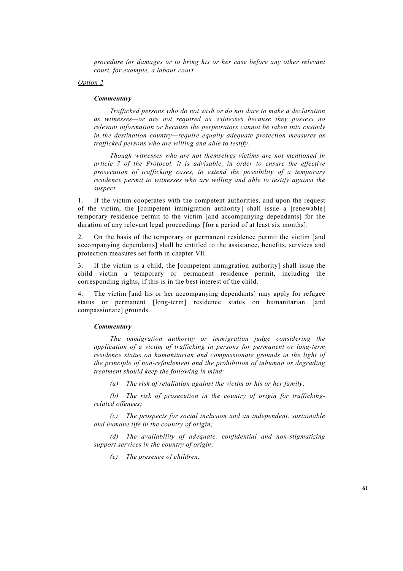*procedure for damages or to bring his or her case before any other relevant court, for example, a labour court.* 

### *Option 2*

#### *Commentary*

 *Trafficked persons who do not wish or do not dare to make a declaration as witnesses—or are not required as witnesses because they possess no relevant information or because the perpetrators cannot be taken into custody in the destination country—require equally adequate protection measures as trafficked persons who are willing and able to testify.* 

 *Though witnesses who are not themselves victims are not mentioned in article 7 of the Protocol, it is advisable, in order to ensure the effective prosecution of trafficking cases, to extend the possibility of a temporary residence permit to witnesses who are willing and able to testify against the suspect.* 

1. If the victim cooperates with the competent authorities, and upon the request of the victim, the [competent immigration authority] shall issue a [renewable] temporary residence permit to the victim [and accompanying dependants] for the duration of any relevant legal proceedings [for a period of at least six months].

2. On the basis of the temporary or permanent residence permit the victim [and accompanying dependants] shall be entitled to the assistance, benefits, services and protection measures set forth in chapter VII.

3. If the victim is a child, the [competent immigration authority] shall issue the child victim a temporary or permanent residence permit, including the corresponding rights, if this is in the best interest of the child.

4. The victim [and his or her accompanying dependants] may apply for refugee status or permanent [long-term] residence status on humanitarian [and compassionate] grounds.

### *Commentary*

 *The immigration authority or immigration judge considering the application of a victim of trafficking in persons for permanent or long-term residence status on humanitarian and compassionate grounds in the light of the principle of non-refoulement and the prohibition of inhuman or degrading treatment should keep the following in mind:* 

 *(a) The risk of retaliation against the victim or his or her family;* 

 *(b) The risk of prosecution in the country of origin for traffickingrelated offences;* 

 *(c) The prospects for social inclusion and an independent, sustainable and humane life in the country of origin;* 

 *(d) The availability of adequate, confidential and non-stigmatizing support services in the country of origin;* 

 *(e) The presence of children.*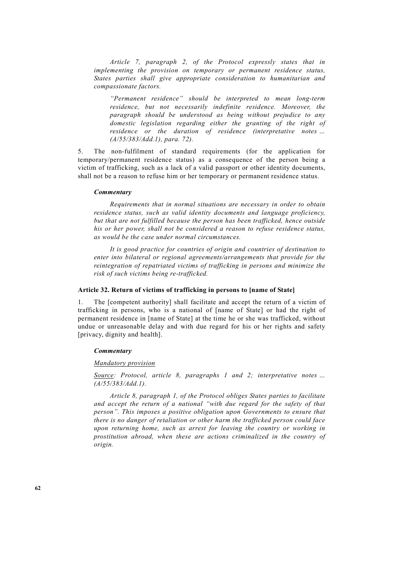*Article 7, paragraph 2, of the Protocol expressly states that in implementing the provision on temporary or permanent residence status, States parties shall give appropriate consideration to humanitarian and compassionate factors.* 

 *"Permanent residence" should be interpreted to mean long-term residence, but not necessarily indefinite residence. Moreover, the paragraph should be understood as being without prejudice to any domestic legislation regarding either the granting of the right of residence or the duration of residence (interpretative notes … (A/55/383/Add.1), para. 72).* 

5. The non-fulfilment of standard requirements (for the application for temporary/permanent residence status) as a consequence of the person being a victim of trafficking, such as a lack of a valid passport or other identity documents, shall not be a reason to refuse him or her temporary or permanent residence status.

#### *Commentary*

 *Requirements that in normal situations are necessary in order to obtain residence status, such as valid identity documents and language proficiency, but that are not fulfilled because the person has been trafficked, hence outside his or her power, shall not be considered a reason to refuse residence status, as would be the case under normal circumstances.*

 *It is good practice for countries of origin and countries of destination to enter into bilateral or regional agreements/arrangements that provide for the reintegration of repatriated victims of trafficking in persons and minimize the risk of such victims being re-trafficked.*

# **Article 32. Return of victims of trafficking in persons to [name of State]**

1. The [competent authority] shall facilitate and accept the return of a victim of trafficking in persons, who is a national of [name of State] or had the right of permanent residence in [name of State] at the time he or she was trafficked, without undue or unreasonable delay and with due regard for his or her rights and safety [privacy, dignity and health].

#### *Commentary*

### *Mandatory provision*

 *Source: Protocol, article 8, paragraphs 1 and 2; interpretative notes … (A/55/383/Add.1).* 

 *Article 8, paragraph 1, of the Protocol obliges States parties to facilitate and accept the return of a national "with due regard for the safety of that person". This imposes a positive obligation upon Governments to ensure that there is no danger of retaliation or other harm the trafficked person could face upon returning home, such as arrest for leaving the country or working in prostitution abroad, when these are actions criminalized in the country of origin.*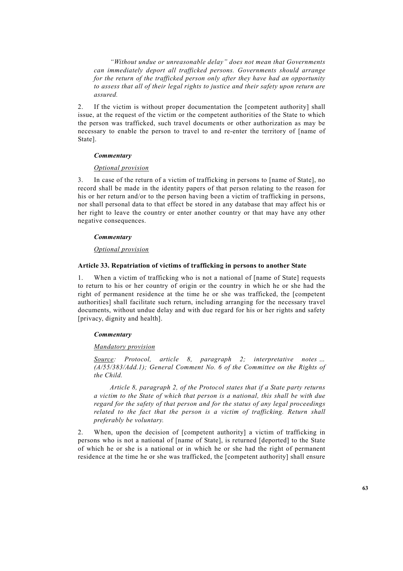*"Without undue or unreasonable delay" does not mean that Governments can immediately deport all trafficked persons. Governments should arrange for the return of the trafficked person only after they have had an opportunity to assess that all of their legal rights to justice and their safety upon return are assured.*

2. If the victim is without proper documentation the [competent authority] shall issue, at the request of the victim or the competent authorities of the State to which the person was trafficked, such travel documents or other authorization as may be necessary to enable the person to travel to and re-enter the territory of [name of State].

# *Commentary*

# *Optional provision*

3. In case of the return of a victim of trafficking in persons to [name of State], no record shall be made in the identity papers of that person relating to the reason for his or her return and/or to the person having been a victim of trafficking in persons, nor shall personal data to that effect be stored in any database that may affect his or her right to leave the country or enter another country or that may have any other negative consequences.

### *Commentary*

# *Optional provision*

# **Article 33. Repatriation of victims of trafficking in persons to another State**

1. When a victim of trafficking who is not a national of [name of State] requests to return to his or her country of origin or the country in which he or she had the right of permanent residence at the time he or she was trafficked, the [competent authorities] shall facilitate such return, including arranging for the necessary travel documents, without undue delay and with due regard for his or her rights and safety [privacy, dignity and health].

#### *Commentary*

### *Mandatory provision*

 *Source: Protocol, article 8, paragraph 2; interpretative notes … (A/55/383/Add.1); General Comment No. 6 of the Committee on the Rights of the Child.* 

 *Article 8, paragraph 2, of the Protocol states that if a State party returns a victim to the State of which that person is a national, this shall be with due regard for the safety of that person and for the status of any legal proceedings*  related to the fact that the person is a victim of trafficking. Return shall *preferably be voluntary.*

2. When, upon the decision of [competent authority] a victim of trafficking in persons who is not a national of [name of State], is returned [deported] to the State of which he or she is a national or in which he or she had the right of permanent residence at the time he or she was trafficked, the [competent authority] shall ensure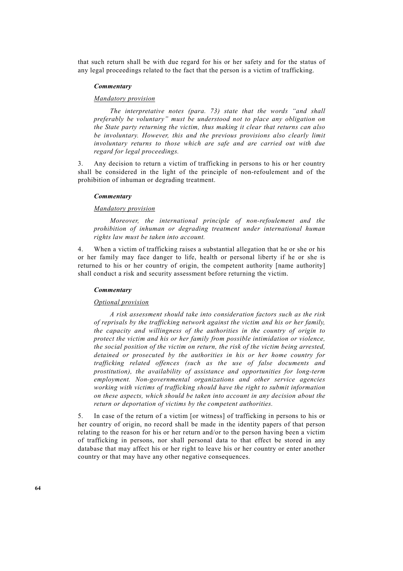that such return shall be with due regard for his or her safety and for the status of any legal proceedings related to the fact that the person is a victim of trafficking.

# *Commentary*

#### *Mandatory provision*

 *The interpretative notes (para. 73) state that the words "and shall preferably be voluntary" must be understood not to place any obligation on the State party returning the victim, thus making it clear that returns can also be involuntary. However, this and the previous provisions also clearly limit involuntary returns to those which are safe and are carried out with due regard for legal proceedings.* 

3. Any decision to return a victim of trafficking in persons to his or her country shall be considered in the light of the principle of non-refoulement and of the prohibition of inhuman or degrading treatment.

# *Commentary*

#### *Mandatory provision*

 *Moreover, the international principle of non-refoulement and the prohibition of inhuman or degrading treatment under international human rights law must be taken into account.* 

4. When a victim of trafficking raises a substantial allegation that he or she or his or her family may face danger to life, health or personal liberty if he or she is returned to his or her country of origin, the competent authority [name authority] shall conduct a risk and security assessment before returning the victim.

#### *Commentary*

### *Optional provision*

 *A risk assessment should take into consideration factors such as the risk of reprisals by the trafficking network against the victim and his or her family, the capacity and willingness of the authorities in the country of origin to protect the victim and his or her family from possible intimidation or violence, the social position of the victim on return, the risk of the victim being arrested, detained or prosecuted by the authorities in his or her home country for trafficking related offences (such as the use of false documents and prostitution), the availability of assistance and opportunities for long-term employment. Non-governmental organizations and other service agencies working with victims of trafficking should have the right to submit information on these aspects, which should be taken into account in any decision about the return or deportation of victims by the competent authorities.* 

5. In case of the return of a victim [or witness] of trafficking in persons to his or her country of origin, no record shall be made in the identity papers of that person relating to the reason for his or her return and/or to the person having been a victim of trafficking in persons, nor shall personal data to that effect be stored in any database that may affect his or her right to leave his or her country or enter another country or that may have any other negative consequences.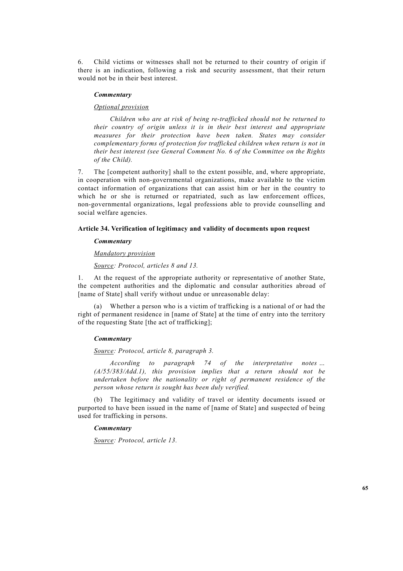6. Child victims or witnesses shall not be returned to their country of origin if there is an indication, following a risk and security assessment, that their return would not be in their best interest.

#### *Commentary*

# *Optional provision*

 *Children who are at risk of being re-trafficked should not be returned to their country of origin unless it is in their best interest and appropriate measures for their protection have been taken. States may consider complementary forms of protection for trafficked children when return is not in their best interest (see General Comment No. 6 of the Committee on the Rights of the Child).*

7. The [competent authority] shall to the extent possible, and, where appropriate, in cooperation with non-governmental organizations, make available to the victim contact information of organizations that can assist him or her in the country to which he or she is returned or repatriated, such as law enforcement offices, non-governmental organizations, legal professions able to provide counselling and social welfare agencies.

# **Article 34. Verification of legitimacy and validity of documents upon request**

# *Commentary*

### *Mandatory provision*

 *Source: Protocol, articles 8 and 13.* 

1. At the request of the appropriate authority or representative of another State, the competent authorities and the diplomatic and consular authorities abroad of [name of State] shall verify without undue or unreasonable delay:

 (a) Whether a person who is a victim of trafficking is a national of or had the right of permanent residence in [name of State] at the time of entry into the territory of the requesting State [the act of trafficking];

#### *Commentary*

### *Source: Protocol, article 8, paragraph 3.*

 *According to paragraph 74 of the interpretative notes … (A/55/383/Add.1), this provision implies that a return should not be undertaken before the nationality or right of permanent residence of the person whose return is sought has been duly verified.* 

 (b) The legitimacy and validity of travel or identity documents issued or purported to have been issued in the name of [name of State] and suspected of being used for trafficking in persons.

# *Commentary*

 *Source: Protocol, article 13.*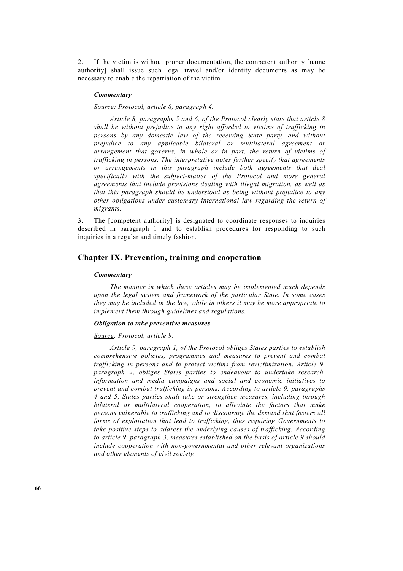2. If the victim is without proper documentation, the competent authority [name authority] shall issue such legal travel and/or identity documents as may be necessary to enable the repatriation of the victim.

#### *Commentary*

# *Source: Protocol, article 8, paragraph 4.*

 *Article 8, paragraphs 5 and 6, of the Protocol clearly state that article 8 shall be without prejudice to any right afforded to victims of trafficking in persons by any domestic law of the receiving State party, and without prejudice to any applicable bilateral or multilateral agreement or arrangement that governs, in whole or in part, the return of victims of trafficking in persons. The interpretative notes further specify that agreements or arrangements in this paragraph include both agreements that deal specifically with the subject-matter of the Protocol and more general agreements that include provisions dealing with illegal migration, as well as that this paragraph should be understood as being without prejudice to any other obligations under customary international law regarding the return of migrants.* 

3. The [competent authority] is designated to coordinate responses to inquiries described in paragraph 1 and to establish procedures for responding to such inquiries in a regular and timely fashion.

# **Chapter IX. Prevention, training and cooperation**

### *Commentary*

 *The manner in which these articles may be implemented much depends upon the legal system and framework of the particular State. In some cases they may be included in the law, while in others it may be more appropriate to implement them through guidelines and regulations.* 

### *Obligation to take preventive measures*

#### *Source: Protocol, article 9.*

 *Article 9, paragraph 1, of the Protocol obliges States parties to establish comprehensive policies, programmes and measures to prevent and combat trafficking in persons and to protect victims from revictimization. Article 9, paragraph 2, obliges States parties to endeavour to undertake research, information and media campaigns and social and economic initiatives to prevent and combat trafficking in persons. According to article 9, paragraphs 4 and 5, States parties shall take or strengthen measures, including through bilateral or multilateral cooperation, to alleviate the factors that make persons vulnerable to trafficking and to discourage the demand that fosters all forms of exploitation that lead to trafficking, thus requiring Governments to take positive steps to address the underlying causes of trafficking. According to article 9, paragraph 3, measures established on the basis of article 9 should include cooperation with non-governmental and other relevant organizations and other elements of civil society.*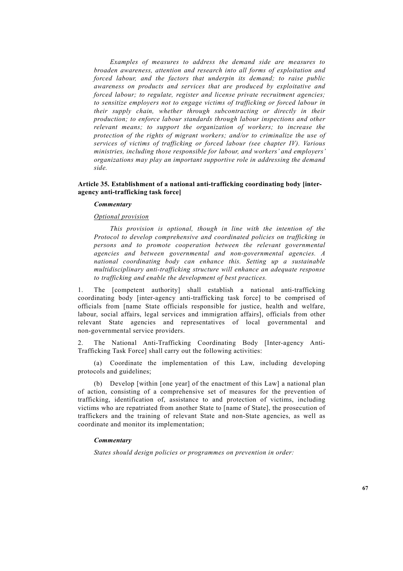*Examples of measures to address the demand side are measures to broaden awareness, attention and research into all forms of exploitation and forced labour, and the factors that underpin its demand; to raise public awareness on products and services that are produced by exploitative and forced labour; to regulate, register and license private recruitment agencies; to sensitize employers not to engage victims of trafficking or forced labour in their supply chain, whether through subcontracting or directly in their production; to enforce labour standards through labour inspections and other relevant means; to support the organization of workers; to increase the protection of the rights of migrant workers; and/or to criminalize the use of services of victims of trafficking or forced labour (see chapter IV). Various ministries, including those responsible for labour, and workers' and employers' organizations may play an important supportive role in addressing the demand side.* 

# **Article 35. Establishment of a national anti-trafficking coordinating body [interagency anti-trafficking task force]**

# *Commentary*

#### *Optional provision*

 *This provision is optional, though in line with the intention of the Protocol to develop comprehensive and coordinated policies on trafficking in persons and to promote cooperation between the relevant governmental agencies and between governmental and non-governmental agencies. A national coordinating body can enhance this. Setting up a sustainable multidisciplinary anti-trafficking structure will enhance an adequate response to trafficking and enable the development of best practices.* 

1. The [competent authority] shall establish a national anti-trafficking coordinating body [inter-agency anti-trafficking task force] to be comprised of officials from [name State officials responsible for justice, health and welfare, labour, social affairs, legal services and immigration affairs], officials from other relevant State agencies and representatives of local governmental and non-governmental service providers.

2. The National Anti-Trafficking Coordinating Body [Inter-agency Anti-Trafficking Task Force] shall carry out the following activities:

 (a) Coordinate the implementation of this Law, including developing protocols and guidelines;

 (b) Develop [within [one year] of the enactment of this Law] a national plan of action, consisting of a comprehensive set of measures for the prevention of trafficking, identification of, assistance to and protection of victims, including victims who are repatriated from another State to [name of State], the prosecution of traffickers and the training of relevant State and non-State agencies, as well as coordinate and monitor its implementation;

# *Commentary*

 *States should design policies or programmes on prevention in order:*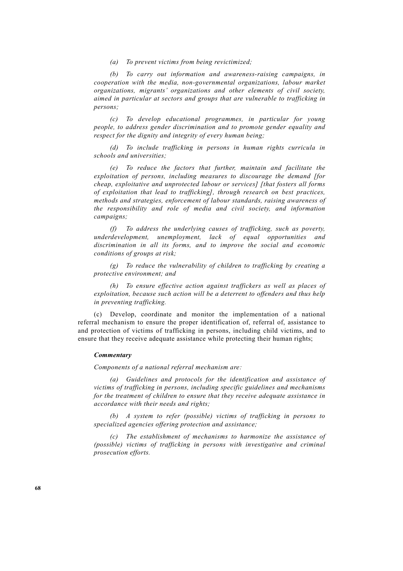*(a) To prevent victims from being revictimized;* 

 *(b) To carry out information and awareness-raising campaigns, in cooperation with the media, non-governmental organizations, labour market organizations, migrants' organizations and other elements of civil society, aimed in particular at sectors and groups that are vulnerable to trafficking in persons;* 

 *(c) To develop educational programmes, in particular for young people, to address gender discrimination and to promote gender equality and respect for the dignity and integrity of every human being;* 

 *(d) To include trafficking in persons in human rights curricula in schools and universities;* 

 *(e) To reduce the factors that further, maintain and facilitate the exploitation of persons, including measures to discourage the demand [for cheap, exploitative and unprotected labour or services] [that fosters all forms of exploitation that lead to trafficking], through research on best practices, methods and strategies, enforcement of labour standards, raising awareness of the responsibility and role of media and civil society, and information campaigns;* 

 *(f) To address the underlying causes of trafficking, such as poverty, underdevelopment, unemployment, lack of equal opportunities and discrimination in all its forms, and to improve the social and economic conditions of groups at risk;* 

 *(g) To reduce the vulnerability of children to trafficking by creating a protective environment; and* 

 *(h) To ensure effective action against traffickers as well as places of exploitation, because such action will be a deterrent to offenders and thus help in preventing trafficking.* 

 (c) Develop, coordinate and monitor the implementation of a national referral mechanism to ensure the proper identification of, referral of, assistance to and protection of victims of trafficking in persons, including child victims, and to ensure that they receive adequate assistance while protecting their human rights;

# *Commentary*

 *Components of a national referral mechanism are:* 

 *(a) Guidelines and protocols for the identification and assistance of victims of trafficking in persons, including specific guidelines and mechanisms for the treatment of children to ensure that they receive adequate assistance in accordance with their needs and rights;* 

 *(b) A system to refer (possible) victims of trafficking in persons to specialized agencies offering protection and assistance;* 

 *(c) The establishment of mechanisms to harmonize the assistance of (possible) victims of trafficking in persons with investigative and criminal prosecution efforts.*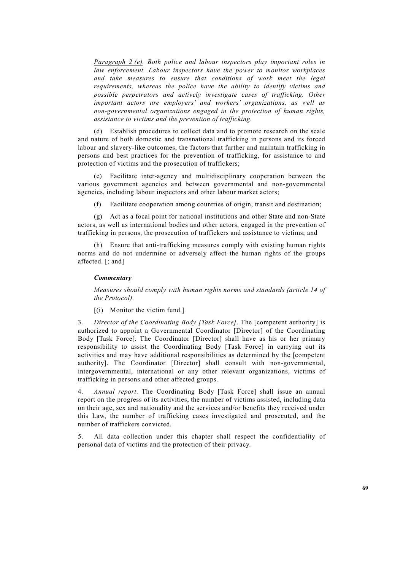*Paragraph 2 (e). Both police and labour inspectors play important roles in law enforcement. Labour inspectors have the power to monitor workplaces and take measures to ensure that conditions of work meet the legal requirements, whereas the police have the ability to identify victims and possible perpetrators and actively investigate cases of trafficking. Other important actors are employers' and workers' organizations, as well as non-governmental organizations engaged in the protection of human rights, assistance to victims and the prevention of trafficking.* 

 (d) Establish procedures to collect data and to promote research on the scale and nature of both domestic and transnational trafficking in persons and its forced labour and slavery-like outcomes, the factors that further and maintain trafficking in persons and best practices for the prevention of trafficking, for assistance to and protection of victims and the prosecution of traffickers;

 (e) Facilitate inter-agency and multidisciplinary cooperation between the various government agencies and between governmental and non-governmental agencies, including labour inspectors and other labour market actors;

(f) Facilitate cooperation among countries of origin, transit and destination;

 (g) Act as a focal point for national institutions and other State and non-State actors, as well as international bodies and other actors, engaged in the prevention of trafficking in persons, the prosecution of traffickers and assistance to victims; and

 (h) Ensure that anti-trafficking measures comply with existing human rights norms and do not undermine or adversely affect the human rights of the groups affected. [; and]

### *Commentary*

 *Measures should comply with human rights norms and standards (article 14 of the Protocol).* 

[(i) Monitor the victim fund.]

3. *Director of the Coordinating Body [Task Force]*. The [competent authority] is authorized to appoint a Governmental Coordinator [Director] of the Coordinating Body [Task Force]. The Coordinator [Director] shall have as his or her primary responsibility to assist the Coordinating Body [Task Force] in carrying out its activities and may have additional responsibilities as determined by the [competent authority]. The Coordinator [Director] shall consult with non-governmental, intergovernmental, international or any other relevant organizations, victims of trafficking in persons and other affected groups.

4. *Annual report*. The Coordinating Body [Task Force] shall issue an annual report on the progress of its activities, the number of victims assisted, including data on their age, sex and nationality and the services and/or benefits they received under this Law, the number of trafficking cases investigated and prosecuted, and the number of traffickers convicted.

5. All data collection under this chapter shall respect the confidentiality of personal data of victims and the protection of their privacy.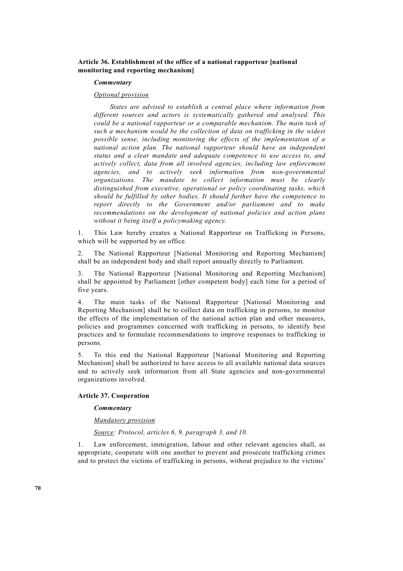# **Article 36. Establishment of the office of a national rapporteur [national monitoring and reporting mechanism]**

### *Commentary*

# *Optional provision*

 *States are advised to establish a central place where information from different sources and actors is systematically gathered and analysed. This could be a national rapporteur or a comparable mechanism. The main task of such a mechanism would be the collection of data on trafficking in the widest possible sense, including monitoring the effects of the implementation of a national action plan. The national rapporteur should have an independent status and a clear mandate and adequate competence to use access to, and actively collect, data from all involved agencies, including law enforcement agencies, and to actively seek information from non-governmental organizations. The mandate to collect information must be clearly distinguished from executive, operational or policy coordinating tasks, which should be fulfilled by other bodies. It should further have the competence to report directly to the Government and/or parliament and to make recommendations on the development of national policies and action plans without it being itself a policymaking agency.*

1. This Law hereby creates a National Rapporteur on Trafficking in Persons, which will be supported by an office.

2. The National Rapporteur [National Monitoring and Reporting Mechanism] shall be an independent body and shall report annually directly to Parliament*.* 

3. The National Rapporteur [National Monitoring and Reporting Mechanism] shall be appointed by Parliament [other competent body] each time for a period of five years.

4. The main tasks of the National Rapporteur [National Monitoring and Reporting Mechanism] shall be to collect data on trafficking in persons, to monitor the effects of the implementation of the national action plan and other measures, policies and programmes concerned with trafficking in persons, to identify best practices and to formulate recommendations to improve responses to trafficking in persons.

5. To this end the National Rapporteur [National Monitoring and Reporting Mechanism] shall be authorized to have access to all available national data sources and to actively seek information from all State agencies and non-governmental organizations involved.

# **Article 37. Cooperation**

#### *Commentary*

#### *Mandatory provision*

 *Source: Protocol, articles 6, 9, paragraph 3, and 10.* 

1. Law enforcement, immigration, labour and other relevant agencies shall, as appropriate, cooperate with one another to prevent and prosecute trafficking crimes and to protect the victims of trafficking in persons, without prejudice to the victims'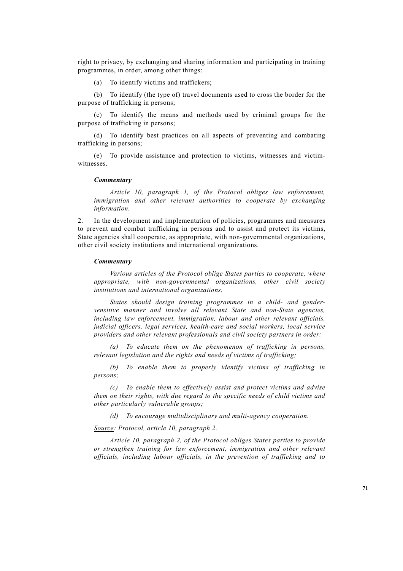right to privacy, by exchanging and sharing information and participating in training programmes, in order, among other things:

(a) To identify victims and traffickers;

 (b) To identify (the type of) travel documents used to cross the border for the purpose of trafficking in persons;

 (c) To identify the means and methods used by criminal groups for the purpose of trafficking in persons;

 (d) To identify best practices on all aspects of preventing and combating trafficking in persons;

 (e) To provide assistance and protection to victims, witnesses and victimwitnesses.

#### *Commentary*

 *Article 10, paragraph 1, of the Protocol obliges law enforcement, immigration and other relevant authorities to cooperate by exchanging information.* 

2. In the development and implementation of policies, programmes and measures to prevent and combat trafficking in persons and to assist and protect its victims, State agencies shall cooperate, as appropriate, with non-governmental organizations, other civil society institutions and international organizations.

#### *Commentary*

 *Various articles of the Protocol oblige States parties to cooperate, where appropriate, with non-governmental organizations, other civil society institutions and international organizations.* 

 *States should design training programmes in a child- and gendersensitive manner and involve all relevant State and non-State agencies, including law enforcement, immigration, labour and other relevant officials, judicial officers, legal services, health-care and social workers, local service providers and other relevant professionals and civil society partners in order:* 

 *(a) To educate them on the phenomenon of trafficking in persons, relevant legislation and the rights and needs of victims of trafficking;* 

 *(b) To enable them to properly identify victims of trafficking in persons;* 

 *(c) To enable them to effectively assist and protect victims and advise them on their rights, with due regard to the specific needs of child victims and other particularly vulnerable groups;* 

 *(d) To encourage multidisciplinary and multi-agency cooperation.* 

 *Source: Protocol, article 10, paragraph 2.* 

 *Article 10, paragraph 2, of the Protocol obliges States parties to provide or strengthen training for law enforcement, immigration and other relevant officials, including labour officials, in the prevention of trafficking and to*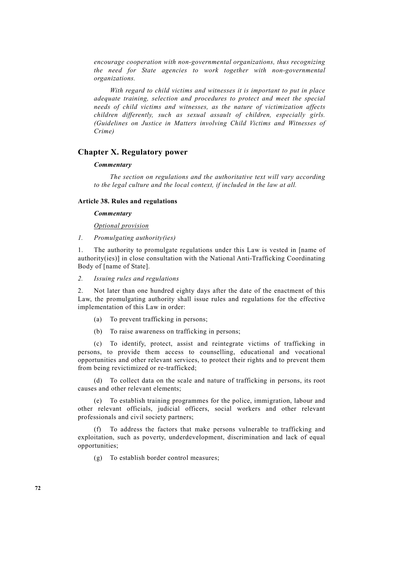*encourage cooperation with non-governmental organizations, thus recognizing the need for State agencies to work together with non-governmental organizations.* 

 *With regard to child victims and witnesses it is important to put in place adequate training, selection and procedures to protect and meet the special needs of child victims and witnesses, as the nature of victimization affects children differently, such as sexual assault of children, especially girls. (Guidelines on Justice in Matters involving Child Victims and Witnesses of Crime)* 

# **Chapter X. Regulatory power**

### *Commentary*

 *The section on regulations and the authoritative text will vary according to the legal culture and the local context, if included in the law at all.* 

### **Article 38. Rules and regulations**

## *Commentary*

 *Optional provision*

*1. Promulgating authority(ies)*

1. The authority to promulgate regulations under this Law is vested in [name of authority(ies)] in close consultation with the National Anti-Trafficking Coordinating Body of [name of State].

*2. Issuing rules and regulations* 

2. Not later than one hundred eighty days after the date of the enactment of this Law, the promulgating authority shall issue rules and regulations for the effective implementation of this Law in order:

- (a) To prevent trafficking in persons;
- (b) To raise awareness on trafficking in persons;

 (c) To identify, protect, assist and reintegrate victims of trafficking in persons, to provide them access to counselling, educational and vocational opportunities and other relevant services, to protect their rights and to prevent them from being revictimized or re-trafficked;

 (d) To collect data on the scale and nature of trafficking in persons, its root causes and other relevant elements;

 (e) To establish training programmes for the police, immigration, labour and other relevant officials, judicial officers, social workers and other relevant professionals and civil society partners;

 (f) To address the factors that make persons vulnerable to trafficking and exploitation, such as poverty, underdevelopment, discrimination and lack of equal opportunities;

(g) To establish border control measures;